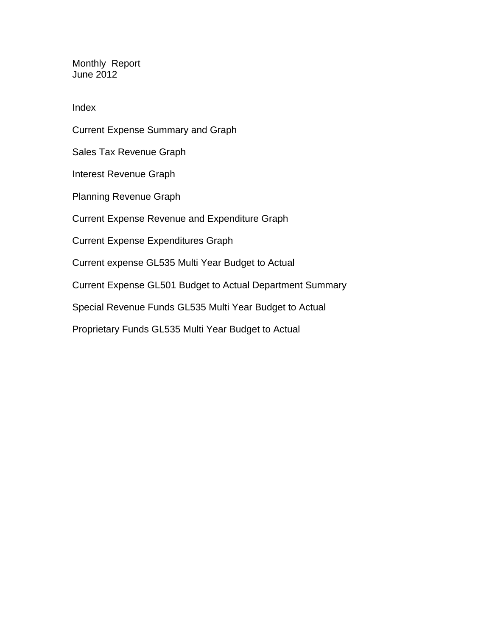Monthly Report June 2012

Index

Current Expense Summary and Graph Sales Tax Revenue Graph Interest Revenue Graph Planning Revenue Graph Current Expense Revenue and Expenditure Graph Current Expense Expenditures Graph Current expense GL535 Multi Year Budget to Actual Current Expense GL501 Budget to Actual Department Summary Special Revenue Funds GL535 Multi Year Budget to Actual Proprietary Funds GL535 Multi Year Budget to Actual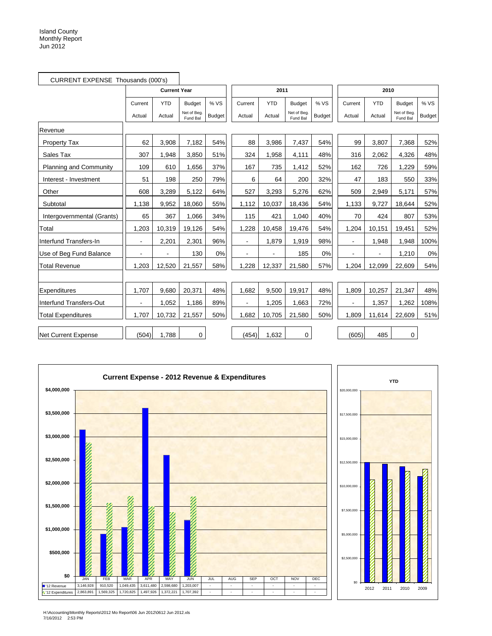|                               | CURRENT EXPENSE Thousands (000's) |                     |                         |               |                |            |                         |               |                          |            |                         |               |
|-------------------------------|-----------------------------------|---------------------|-------------------------|---------------|----------------|------------|-------------------------|---------------|--------------------------|------------|-------------------------|---------------|
|                               |                                   | <b>Current Year</b> |                         |               |                | 2011       |                         |               |                          | 2010       |                         |               |
|                               | Current                           | <b>YTD</b>          | <b>Budget</b>           | % VS          | Current        | <b>YTD</b> | <b>Budget</b>           | % VS          | Current                  | <b>YTD</b> | <b>Budget</b>           | % VS          |
|                               | Actual                            | Actual              | Net of Beg.<br>Fund Bal | <b>Budget</b> | Actual         | Actual     | Net of Beg.<br>Fund Bal | <b>Budget</b> | Actual                   | Actual     | Net of Beg.<br>Fund Bal | <b>Budget</b> |
| Revenue                       |                                   |                     |                         |               |                |            |                         |               |                          |            |                         |               |
| Property Tax                  | 62                                | 3,908               | 7,182                   | 54%           | 88             | 3,986      | 7,437                   | 54%           | 99                       | 3,807      | 7,368                   | 52%           |
| Sales Tax                     | 307                               | 1,948               | 3,850                   | 51%           | 324            | 1,958      | 4,111                   | 48%           | 316                      | 2,062      | 4,326                   | 48%           |
| <b>Planning and Community</b> | 109                               | 610                 | 1,656                   | 37%           | 167            | 735        | 1,412                   | 52%           | 162                      | 726        | 1,229                   | 59%           |
| Interest - Investment         | 51                                | 198                 | 250                     | 79%           | 6              | 64         | 200                     | 32%           | 47                       | 183        | 550                     | 33%           |
| Other                         | 608                               | 3,289               | 5,122                   | 64%           | 527            | 3,293      | 5,276                   | 62%           | 509                      | 2,949      | 5,171                   | 57%           |
| Subtotal                      | 1,138                             | 9,952               | 18,060                  | 55%           | 1,112          | 10,037     | 18,436                  | 54%           | 1,133                    | 9,727      | 18,644                  | 52%           |
| Intergovernmental (Grants)    | 65                                | 367                 | 1,066                   | 34%           | 115            | 421        | 1,040                   | 40%           | 70                       | 424        | 807                     | 53%           |
| Total                         | 1,203                             | 10,319              | 19,126                  | 54%           | 1,228          | 10,458     | 19,476                  | 54%           | 1,204                    | 10,151     | 19,451                  | 52%           |
| Interfund Transfers-In        | $\blacksquare$                    | 2,201               | 2,301                   | 96%           | $\blacksquare$ | 1,879      | 1,919                   | 98%           | $\blacksquare$           | 1,948      | 1,948                   | 100%          |
| Use of Beg Fund Balance       |                                   |                     | 130                     | 0%            |                |            | 185                     | 0%            | ÷,                       |            | 1,210                   | 0%            |
| <b>Total Revenue</b>          | 1,203                             | 12,520              | 21,557                  | 58%           | 1,228          | 12,337     | 21,580                  | 57%           | 1,204                    | 12,099     | 22,609                  | 54%           |
|                               |                                   |                     |                         |               |                |            |                         |               |                          |            |                         |               |
| Expenditures                  | 1.707                             | 9.680               | 20,371                  | 48%           | 1,682          | 9,500      | 19,917                  | 48%           | 1.809                    | 10,257     | 21,347                  | 48%           |
| Interfund Transfers-Out       |                                   | 1,052               | 1,186                   | 89%           |                | 1,205      | 1,663                   | 72%           | $\overline{\phantom{a}}$ | 1,357      | 1,262                   | 108%          |
| <b>Total Expenditures</b>     | 1,707                             | 10,732              | 21,557                  | 50%           | 1,682          | 10,705     | 21,580                  | 50%           | 1,809                    | 11,614     | 22,609                  | 51%           |
| Net Current Expense           | (504)                             | 1,788               | 0                       |               | (454)          | 1,632      | 0                       |               | (605)                    | 485        | 0                       |               |



H:\Accounting\Monthly Reports\2012 Mo Report\06 Jun 2012\0612 Jun 2012.xls 7/16/2012 2:53 PM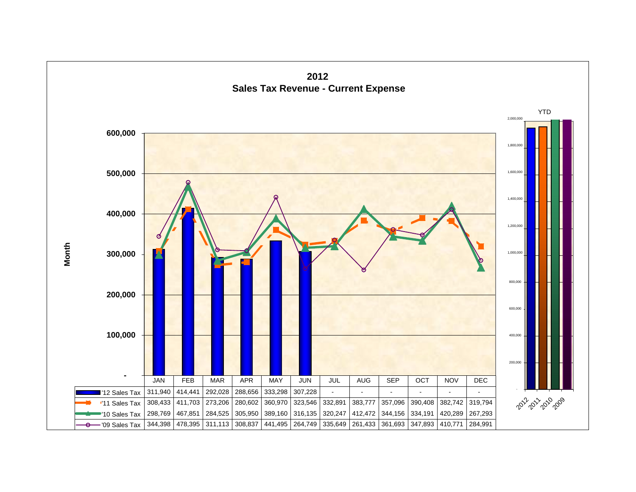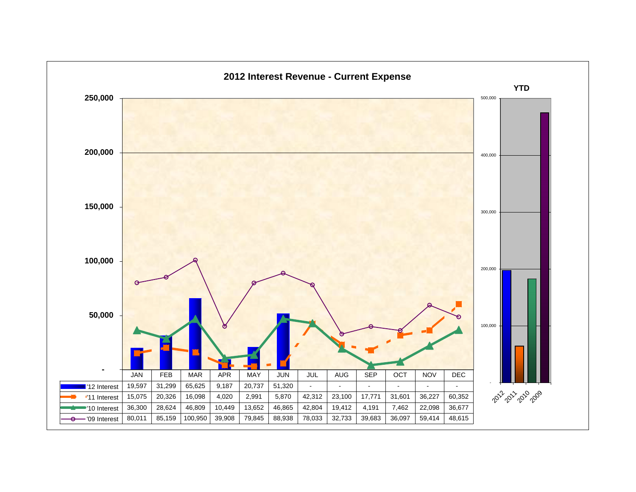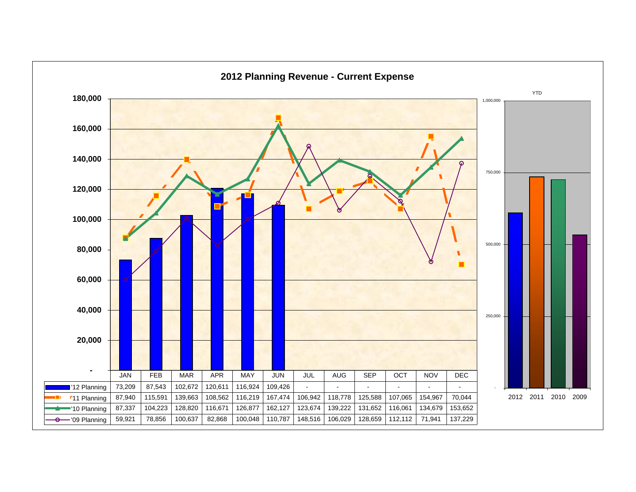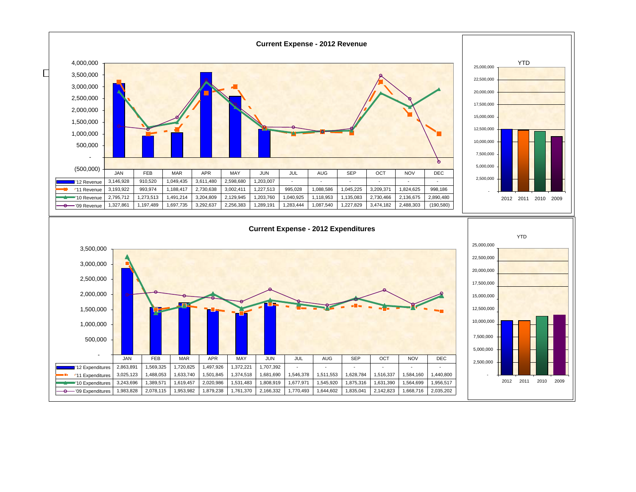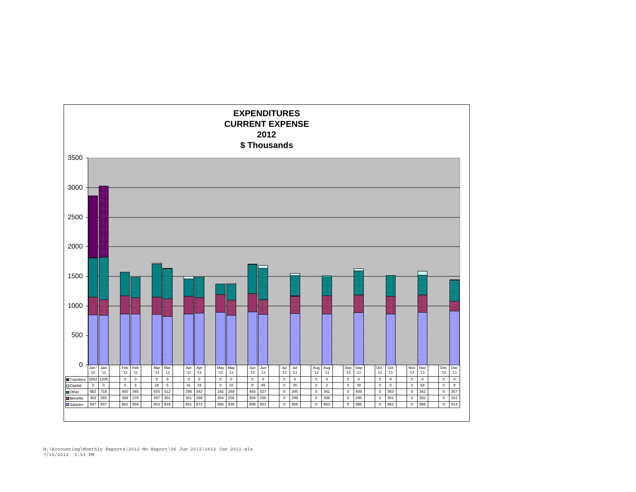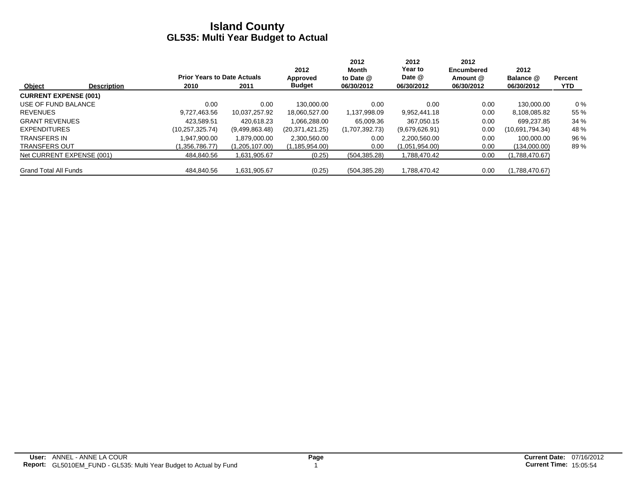|                              |                    |                                    |                | 2012             | 2012<br>Month  | 2012<br>Year to | 2012<br>Encumbered | 2012             |                |
|------------------------------|--------------------|------------------------------------|----------------|------------------|----------------|-----------------|--------------------|------------------|----------------|
|                              |                    | <b>Prior Years to Date Actuals</b> |                | Approved         | to Date @      | Date @          | Amount @           | Balance @        | <b>Percent</b> |
| Object                       | <b>Description</b> | 2010                               | 2011           | <b>Budget</b>    | 06/30/2012     | 06/30/2012      | 06/30/2012         | 06/30/2012       | <b>YTD</b>     |
| <b>CURRENT EXPENSE (001)</b> |                    |                                    |                |                  |                |                 |                    |                  |                |
| USE OF FUND BALANCE          |                    | 0.00                               | 0.00           | 130.000.00       | 0.00           | 0.00            | 0.00               | 130.000.00       | $0\%$          |
| <b>REVENUES</b>              |                    | 9.727.463.56                       | 10.037.257.92  | 18,060,527.00    | 1,137,998.09   | 9.952.441.18    | 0.00               | 8,108,085.82     | 55 %           |
| <b>GRANT REVENUES</b>        |                    | 423.589.51                         | 420.618.23     | 1.066.288.00     | 65.009.36      | 367.050.15      | 0.00               | 699.237.85       | 34 %           |
| <b>EXPENDITURES</b>          |                    | (10, 257, 325.74)                  | (9,499,863.48) | (20.371.421.25)  | (1,707,392.73) | (9,679,626.91)  | 0.00               | (10.691, 794.34) | 48 %           |
| <b>TRANSFERS IN</b>          |                    | .947.900.00                        | 1.879.000.00   | 2,300,560.00     | 0.00           | 2,200,560.00    | 0.00               | 100.000.00       | 96 %           |
| <b>TRANSFERS OUT</b>         |                    | (1.356.786.77)                     | (1,205,107.00) | (1, 185, 954.00) | 0.00           | (1,051,954.00)  | 0.00               | (134,000.00)     | 89%            |
| Net CURRENT EXPENSE (001)    |                    | 484,840.56                         | 1,631,905.67   | (0.25)           | (504, 385.28)  | 1,788,470.42    | 0.00               | (1,788,470.67)   |                |
| <b>Grand Total All Funds</b> |                    | 484.840.56                         | 1,631,905.67   | (0.25)           | (504, 385.28)  | 1,788,470.42    | 0.00               | (1,788,470.67)   |                |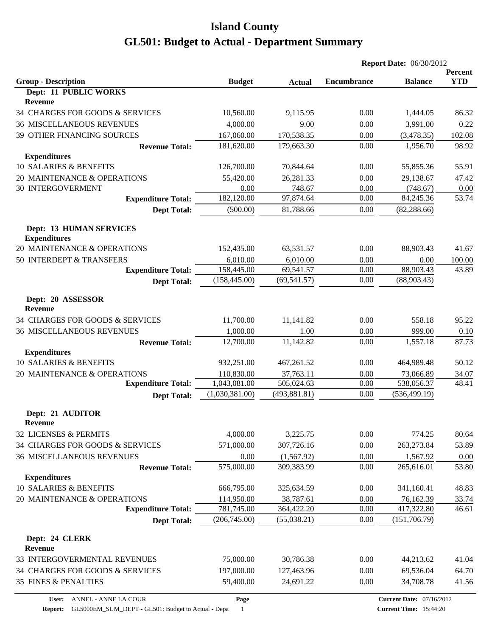|                                                       |                |               | <b>Report Date: 06/30/2012</b> |                                 |                       |
|-------------------------------------------------------|----------------|---------------|--------------------------------|---------------------------------|-----------------------|
| <b>Group - Description</b>                            | <b>Budget</b>  | <b>Actual</b> | <b>Encumbrance</b>             | <b>Balance</b>                  | Percent<br><b>YTD</b> |
| Dept: 11 PUBLIC WORKS<br><b>Revenue</b>               |                |               |                                |                                 |                       |
| 34 CHARGES FOR GOODS & SERVICES                       | 10,560.00      | 9,115.95      | 0.00                           | 1,444.05                        | 86.32                 |
| <b>36 MISCELLANEOUS REVENUES</b>                      | 4,000.00       | 9.00          | 0.00                           | 3,991.00                        | 0.22                  |
| 39 OTHER FINANCING SOURCES                            | 167,060.00     | 170,538.35    | 0.00                           | (3,478.35)                      | 102.08                |
| <b>Revenue Total:</b>                                 | 181,620.00     | 179,663.30    | 0.00                           | 1,956.70                        | 98.92                 |
| <b>Expenditures</b>                                   |                |               |                                |                                 |                       |
| 10 SALARIES & BENEFITS                                | 126,700.00     | 70,844.64     | 0.00                           | 55,855.36                       | 55.91                 |
| 20 MAINTENANCE & OPERATIONS                           | 55,420.00      | 26,281.33     | 0.00                           | 29,138.67                       | 47.42                 |
| <b>30 INTERGOVERMENT</b>                              | 0.00           | 748.67        | 0.00                           | (748.67)                        | $0.00\,$              |
| <b>Expenditure Total:</b>                             | 182,120.00     | 97,874.64     | 0.00                           | 84,245.36                       | 53.74                 |
| <b>Dept Total:</b>                                    | (500.00)       | 81,788.66     | 0.00                           | (82, 288.66)                    |                       |
| <b>Dept: 13 HUMAN SERVICES</b><br><b>Expenditures</b> |                |               |                                |                                 |                       |
| 20 MAINTENANCE & OPERATIONS                           | 152,435.00     | 63,531.57     | 0.00                           | 88,903.43                       | 41.67                 |
| 50 INTERDEPT & TRANSFERS                              | 6,010.00       | 6,010.00      | 0.00                           | 0.00                            | 100.00                |
| <b>Expenditure Total:</b>                             | 158,445.00     | 69,541.57     | 0.00                           | 88,903.43                       | 43.89                 |
| <b>Dept Total:</b>                                    | (158, 445.00)  | (69, 541.57)  | 0.00                           | (88,903.43)                     |                       |
| Dept: 20 ASSESSOR<br><b>Revenue</b>                   |                |               |                                |                                 |                       |
| 34 CHARGES FOR GOODS & SERVICES                       | 11,700.00      | 11,141.82     | 0.00                           | 558.18                          | 95.22                 |
| <b>36 MISCELLANEOUS REVENUES</b>                      | 1,000.00       | 1.00          | 0.00                           | 999.00                          | 0.10                  |
| <b>Revenue Total:</b>                                 | 12,700.00      | 11,142.82     | 0.00                           | 1,557.18                        | 87.73                 |
| <b>Expenditures</b><br>10 SALARIES & BENEFITS         | 932,251.00     | 467,261.52    | 0.00                           | 464,989.48                      | 50.12                 |
| 20 MAINTENANCE & OPERATIONS                           | 110,830.00     | 37,763.11     | 0.00                           | 73,066.89                       | 34.07                 |
| <b>Expenditure Total:</b>                             | 1,043,081.00   | 505,024.63    | 0.00                           | 538,056.37                      | 48.41                 |
| <b>Dept Total:</b>                                    | (1,030,381.00) | (493, 881.81) | 0.00                           | (536, 499.19)                   |                       |
| Dept: 21 AUDITOR                                      |                |               |                                |                                 |                       |
| <b>Revenue</b>                                        |                |               |                                |                                 |                       |
| 32 LICENSES & PERMITS                                 | 4,000.00       | 3,225.75      | 0.00                           | 774.25                          | 80.64                 |
| 34 CHARGES FOR GOODS & SERVICES                       | 571,000.00     | 307,726.16    | 0.00                           | 263,273.84                      | 53.89                 |
| <b>36 MISCELLANEOUS REVENUES</b>                      | 0.00           | (1,567.92)    | 0.00                           | 1,567.92                        | 0.00                  |
| <b>Revenue Total:</b>                                 | 575,000.00     | 309,383.99    | 0.00                           | 265,616.01                      | 53.80                 |
| <b>Expenditures</b>                                   |                |               |                                |                                 |                       |
| 10 SALARIES & BENEFITS                                | 666,795.00     | 325,634.59    | 0.00                           | 341,160.41                      | 48.83                 |
| 20 MAINTENANCE & OPERATIONS                           | 114,950.00     | 38,787.61     | 0.00                           | 76,162.39                       | 33.74                 |
| <b>Expenditure Total:</b>                             | 781,745.00     | 364,422.20    | 0.00                           | 417,322.80                      | 46.61                 |
| <b>Dept Total:</b>                                    | (206,745.00)   | (55,038.21)   | 0.00                           | (151,706.79)                    |                       |
| Dept: 24 CLERK                                        |                |               |                                |                                 |                       |
| <b>Revenue</b>                                        |                |               |                                |                                 |                       |
| 33 INTERGOVERMENTAL REVENUES                          | 75,000.00      | 30,786.38     | 0.00                           | 44,213.62                       | 41.04                 |
| 34 CHARGES FOR GOODS & SERVICES                       | 197,000.00     | 127,463.96    | 0.00                           | 69,536.04                       | 64.70                 |
| <b>35 FINES &amp; PENALTIES</b>                       | 59,400.00      | 24,691.22     | 0.00                           | 34,708.78                       | 41.56                 |
| ANNEL - ANNE LA COUR<br>User:                         | Page           |               |                                | <b>Current Date: 07/16/2012</b> |                       |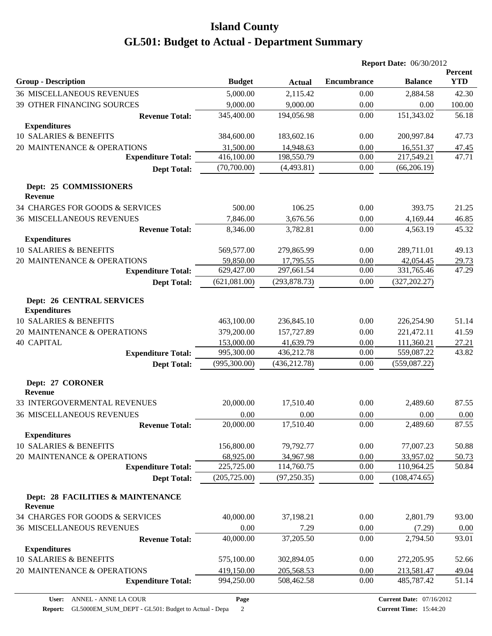|                                                         |               |               | <b>Report Date: 06/30/2012</b> |                |                       |
|---------------------------------------------------------|---------------|---------------|--------------------------------|----------------|-----------------------|
| <b>Group - Description</b>                              | <b>Budget</b> | <b>Actual</b> | <b>Encumbrance</b>             | <b>Balance</b> | Percent<br><b>YTD</b> |
| <b>36 MISCELLANEOUS REVENUES</b>                        | 5,000.00      | 2,115.42      | 0.00                           | 2,884.58       | 42.30                 |
| 39 OTHER FINANCING SOURCES                              | 9,000.00      | 9,000.00      | 0.00                           | 0.00           | 100.00                |
| <b>Revenue Total:</b>                                   | 345,400.00    | 194,056.98    | 0.00                           | 151,343.02     | 56.18                 |
| <b>Expenditures</b>                                     |               |               |                                |                |                       |
| 10 SALARIES & BENEFITS                                  | 384,600.00    | 183,602.16    | 0.00                           | 200,997.84     | 47.73                 |
| 20 MAINTENANCE & OPERATIONS                             | 31,500.00     | 14,948.63     | 0.00                           | 16,551.37      | 47.45                 |
| <b>Expenditure Total:</b>                               | 416,100.00    | 198,550.79    | 0.00                           | 217,549.21     | 47.71                 |
| <b>Dept Total:</b>                                      | (70,700.00)   | (4,493.81)    | 0.00                           | (66, 206.19)   |                       |
| Dept: 25 COMMISSIONERS<br><b>Revenue</b>                |               |               |                                |                |                       |
| 34 CHARGES FOR GOODS & SERVICES                         | 500.00        | 106.25        | 0.00                           | 393.75         | 21.25                 |
| <b>36 MISCELLANEOUS REVENUES</b>                        | 7,846.00      | 3,676.56      | 0.00                           | 4,169.44       | 46.85                 |
| <b>Revenue Total:</b>                                   | 8,346.00      | 3,782.81      | 0.00                           | 4,563.19       | 45.32                 |
| <b>Expenditures</b>                                     |               |               |                                |                |                       |
| 10 SALARIES & BENEFITS                                  | 569,577.00    | 279,865.99    | 0.00                           | 289,711.01     | 49.13                 |
| 20 MAINTENANCE & OPERATIONS                             | 59,850.00     | 17,795.55     | 0.00                           | 42,054.45      | <u>29.73</u>          |
| <b>Expenditure Total:</b>                               | 629,427.00    | 297,661.54    | 0.00                           | 331,765.46     | 47.29                 |
| <b>Dept Total:</b>                                      | (621,081.00)  | (293, 878.73) | 0.00                           | (327, 202.27)  |                       |
| <b>Dept: 26 CENTRAL SERVICES</b><br><b>Expenditures</b> |               |               |                                |                |                       |
| 10 SALARIES & BENEFITS                                  | 463,100.00    | 236,845.10    | 0.00                           | 226,254.90     | 51.14                 |
| 20 MAINTENANCE & OPERATIONS                             | 379,200.00    | 157,727.89    | 0.00                           | 221,472.11     | 41.59                 |
| <b>40 CAPITAL</b>                                       | 153,000.00    | 41,639.79     | 0.00                           | 111,360.21     | 27.21                 |
| <b>Expenditure Total:</b>                               | 995,300.00    | 436,212.78    | 0.00                           | 559,087.22     | 43.82                 |
| <b>Dept Total:</b>                                      | (995,300.00)  | (436, 212.78) | 0.00                           | (559,087.22)   |                       |
| Dept: 27 CORONER<br><b>Revenue</b>                      |               |               |                                |                |                       |
| 33 INTERGOVERMENTAL REVENUES                            | 20,000.00     | 17,510.40     | 0.00                           | 2,489.60       | 87.55                 |
| <b>36 MISCELLANEOUS REVENUES</b>                        | 0.00          | 0.00          | 0.00                           | 0.00           | 0.00                  |
| <b>Revenue Total:</b>                                   | 20,000.00     | 17,510.40     | 0.00                           | 2,489.60       | 87.55                 |
| <b>Expenditures</b>                                     |               |               |                                |                |                       |
| 10 SALARIES & BENEFITS                                  | 156,800.00    | 79,792.77     | 0.00                           | 77,007.23      | 50.88                 |
| 20 MAINTENANCE & OPERATIONS                             | 68,925.00     | 34,967.98     | 0.00                           | 33,957.02      | 50.73                 |
| <b>Expenditure Total:</b>                               | 225,725.00    | 114,760.75    | 0.00                           | 110,964.25     | 50.84                 |
| <b>Dept Total:</b>                                      | (205, 725.00) | (97, 250.35)  | 0.00                           | (108, 474.65)  |                       |
| Dept: 28 FACILITIES & MAINTENANCE<br><b>Revenue</b>     |               |               |                                |                |                       |
| 34 CHARGES FOR GOODS & SERVICES                         | 40,000.00     | 37,198.21     | 0.00                           | 2,801.79       | 93.00                 |
| <b>36 MISCELLANEOUS REVENUES</b>                        | 0.00          | 7.29          | 0.00                           | (7.29)         | 0.00                  |
| <b>Revenue Total:</b>                                   | 40,000.00     | 37,205.50     | 0.00                           | 2,794.50       | 93.01                 |
| <b>Expenditures</b>                                     |               |               |                                |                |                       |
| 10 SALARIES & BENEFITS                                  | 575,100.00    | 302,894.05    | 0.00                           | 272,205.95     | 52.66                 |
| 20 MAINTENANCE & OPERATIONS                             | 419,150.00    | 205,568.53    | 0.00                           | 213,581.47     | 49.04                 |
| <b>Expenditure Total:</b>                               | 994,250.00    | 508,462.58    | 0.00                           | 485,787.42     | 51.14                 |
|                                                         |               |               |                                |                |                       |

**Page**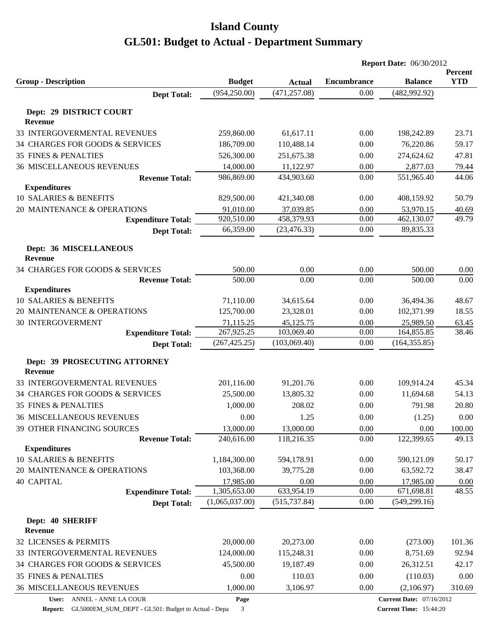|                                                   |                                |                                |                            | <b>Report Date: 06/30/2012</b>  |              |
|---------------------------------------------------|--------------------------------|--------------------------------|----------------------------|---------------------------------|--------------|
|                                                   |                                |                                |                            |                                 | Percent      |
| <b>Group - Description</b>                        | <b>Budget</b><br>(954, 250.00) | <b>Actual</b><br>(471, 257.08) | <b>Encumbrance</b><br>0.00 | <b>Balance</b><br>(482, 992.92) | <b>YTD</b>   |
| <b>Dept Total:</b>                                |                                |                                |                            |                                 |              |
| Dept: 29 DISTRICT COURT                           |                                |                                |                            |                                 |              |
| <b>Revenue</b>                                    |                                |                                |                            |                                 |              |
| 33 INTERGOVERMENTAL REVENUES                      | 259,860.00                     | 61,617.11                      | 0.00                       | 198,242.89                      | 23.71        |
| 34 CHARGES FOR GOODS & SERVICES                   | 186,709.00                     | 110,488.14                     | 0.00                       | 76,220.86                       | 59.17        |
| <b>35 FINES &amp; PENALTIES</b>                   | 526,300.00                     | 251,675.38                     | 0.00                       | 274,624.62                      | 47.81        |
| <b>36 MISCELLANEOUS REVENUES</b>                  | 14,000.00                      | 11,122.97                      | 0.00                       | 2,877.03                        | 79.44        |
| <b>Revenue Total:</b>                             | 986,869.00                     | 434,903.60                     | 0.00                       | 551,965.40                      | 44.06        |
| <b>Expenditures</b>                               |                                |                                |                            |                                 |              |
| 10 SALARIES & BENEFITS                            | 829,500.00                     | 421,340.08                     | 0.00                       | 408,159.92                      | 50.79        |
| 20 MAINTENANCE & OPERATIONS                       | 91,010.00                      | 37,039.85                      | 0.00                       | 53,970.15                       | 40.69        |
| <b>Expenditure Total:</b>                         | 920,510.00<br>66,359.00        | 458,379.93<br>(23, 476.33)     | 0.00<br>0.00               | 462,130.07<br>89,835.33         | 49.79        |
| <b>Dept Total:</b>                                |                                |                                |                            |                                 |              |
| Dept: 36 MISCELLANEOUS                            |                                |                                |                            |                                 |              |
| <b>Revenue</b><br>34 CHARGES FOR GOODS & SERVICES |                                |                                |                            |                                 |              |
| <b>Revenue Total:</b>                             | 500.00<br>500.00               | 0.00<br>0.00                   | 0.00<br>0.00               | 500.00<br>500.00                | 0.00<br>0.00 |
| <b>Expenditures</b>                               |                                |                                |                            |                                 |              |
| 10 SALARIES & BENEFITS                            | 71,110.00                      | 34,615.64                      | 0.00                       | 36,494.36                       | 48.67        |
| 20 MAINTENANCE & OPERATIONS                       | 125,700.00                     | 23,328.01                      | 0.00                       | 102,371.99                      | 18.55        |
| <b>30 INTERGOVERMENT</b>                          | 71,115.25                      | 45,125.75                      | 0.00                       | 25,989.50                       | 63.45        |
| <b>Expenditure Total:</b>                         | 267,925.25                     | 103,069.40                     | 0.00                       | 164,855.85                      | 38.46        |
| <b>Dept Total:</b>                                | (267, 425.25)                  | (103,069.40)                   | 0.00                       | (164, 355.85)                   |              |
| Dept: 39 PROSECUTING ATTORNEY                     |                                |                                |                            |                                 |              |
| <b>Revenue</b>                                    |                                |                                |                            |                                 |              |
| 33 INTERGOVERMENTAL REVENUES                      | 201,116.00                     | 91,201.76                      | 0.00                       | 109,914.24                      | 45.34        |
| 34 CHARGES FOR GOODS & SERVICES                   | 25,500.00                      | 13,805.32                      | 0.00                       | 11,694.68                       | 54.13        |
| <b>35 FINES &amp; PENALTIES</b>                   | 1,000.00                       | 208.02                         | 0.00                       | 791.98                          | 20.80        |
| <b>36 MISCELLANEOUS REVENUES</b>                  | 0.00                           | 1.25                           | 0.00                       | (1.25)                          | 0.00         |
| 39 OTHER FINANCING SOURCES                        | 13,000.00                      | 13,000.00                      | 0.00                       | 0.00                            | 100.00       |
| <b>Revenue Total:</b>                             | 240,616.00                     | 118,216.35                     | 0.00                       | 122,399.65                      | 49.13        |
| <b>Expenditures</b>                               |                                |                                |                            |                                 |              |
| 10 SALARIES & BENEFITS                            | 1,184,300.00                   | 594,178.91                     | 0.00                       | 590,121.09                      | 50.17        |
| 20 MAINTENANCE & OPERATIONS                       | 103,368.00                     | 39,775.28                      | 0.00                       | 63,592.72                       | 38.47        |
| <b>40 CAPITAL</b>                                 | 17,985.00                      | 0.00                           | 0.00                       | 17,985.00                       | 0.00         |
| <b>Expenditure Total:</b>                         | 1,305,653.00                   | 633,954.19                     | 0.00                       | 671,698.81                      | 48.55        |
| <b>Dept Total:</b>                                | (1,065,037.00)                 | (515, 737.84)                  | 0.00                       | (549, 299.16)                   |              |
| Dept: 40 SHERIFF                                  |                                |                                |                            |                                 |              |
| Revenue                                           |                                |                                |                            |                                 |              |
| 32 LICENSES & PERMITS                             | 20,000.00                      | 20,273.00                      | 0.00                       | (273.00)                        | 101.36       |
| 33 INTERGOVERMENTAL REVENUES                      | 124,000.00                     | 115,248.31                     | 0.00                       | 8,751.69                        | 92.94        |
| 34 CHARGES FOR GOODS & SERVICES                   | 45,500.00                      | 19,187.49                      | 0.00                       | 26,312.51                       | 42.17        |
| 35 FINES & PENALTIES                              | 0.00                           | 110.03                         | 0.00                       | (110.03)                        | 0.00         |
| <b>36 MISCELLANEOUS REVENUES</b>                  | 1,000.00                       | 3,106.97                       | 0.00                       | (2,106.97)                      | 310.69       |
| User: ANNEL - ANNE LA COUR                        | Page                           |                                |                            | <b>Current Date: 07/16/2012</b> |              |

**Report:** GL5000EM\_SUM\_DEPT - GL501: Budget to Actual - Depa 3

**Current Time:** 15:44:20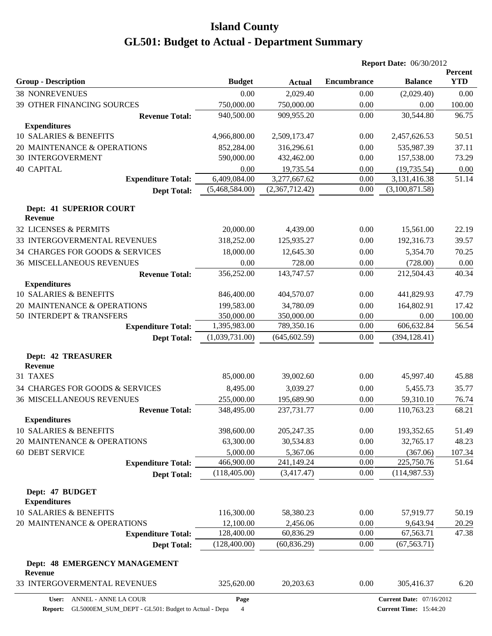|                                                       |                         |                        | <b>Report Date: 06/30/2012</b> |                                 |                 |
|-------------------------------------------------------|-------------------------|------------------------|--------------------------------|---------------------------------|-----------------|
|                                                       |                         |                        |                                |                                 | Percent         |
| <b>Group - Description</b>                            | <b>Budget</b>           | <b>Actual</b>          | <b>Encumbrance</b>             | <b>Balance</b>                  | <b>YTD</b>      |
| <b>38 NONREVENUES</b>                                 | 0.00                    | 2,029.40               | 0.00                           | (2,029.40)                      | 0.00            |
| 39 OTHER FINANCING SOURCES                            | 750,000.00              | 750,000.00             | 0.00                           | 0.00                            | 100.00          |
| <b>Revenue Total:</b>                                 | 940,500.00              | 909,955.20             | 0.00                           | 30,544.80                       | 96.75           |
| <b>Expenditures</b><br>10 SALARIES & BENEFITS         | 4,966,800.00            | 2,509,173.47           | 0.00                           | 2,457,626.53                    | 50.51           |
| 20 MAINTENANCE & OPERATIONS                           | 852,284.00              | 316,296.61             | 0.00                           | 535,987.39                      | 37.11           |
| <b>30 INTERGOVERMENT</b>                              | 590,000.00              | 432,462.00             | 0.00                           | 157,538.00                      | 73.29           |
| <b>40 CAPITAL</b>                                     | 0.00                    | 19,735.54              | 0.00                           | (19, 735.54)                    | 0.00            |
| <b>Expenditure Total:</b>                             | 6,409,084.00            | 3,277,667.62           | 0.00                           | 3,131,416.38                    | 51.14           |
| <b>Dept Total:</b>                                    | (5,468,584.00)          | (2,367,712.42)         | 0.00                           | (3,100,871.58)                  |                 |
|                                                       |                         |                        |                                |                                 |                 |
| Dept: 41 SUPERIOR COURT<br><b>Revenue</b>             |                         |                        |                                |                                 |                 |
| 32 LICENSES & PERMITS                                 | 20,000.00               | 4,439.00               | 0.00                           | 15,561.00                       | 22.19           |
| 33 INTERGOVERMENTAL REVENUES                          | 318,252.00              | 125,935.27             | 0.00                           | 192,316.73                      | 39.57           |
| 34 CHARGES FOR GOODS & SERVICES                       | 18,000.00               | 12,645.30              | 0.00                           | 5,354.70                        | 70.25           |
| <b>36 MISCELLANEOUS REVENUES</b>                      | 0.00                    | 728.00                 | 0.00                           | (728.00)                        | 0.00            |
| <b>Revenue Total:</b>                                 | 356,252.00              | 143,747.57             | 0.00                           | 212,504.43                      | 40.34           |
| <b>Expenditures</b>                                   |                         |                        |                                |                                 |                 |
| 10 SALARIES & BENEFITS                                | 846,400.00              | 404,570.07             | 0.00                           | 441,829.93                      | 47.79           |
| 20 MAINTENANCE & OPERATIONS                           | 199,583.00              | 34,780.09              | 0.00                           | 164,802.91                      | 17.42           |
| 50 INTERDEPT & TRANSFERS                              | 350,000.00              | 350,000.00             | 0.00                           | 0.00                            | 100.00          |
| <b>Expenditure Total:</b>                             | 1,395,983.00            | 789,350.16             | 0.00                           | 606,632.84                      | 56.54           |
| <b>Dept Total:</b>                                    | (1,039,731.00)          | (645, 602.59)          | 0.00                           | (394, 128.41)                   |                 |
| <b>Dept: 42 TREASURER</b>                             |                         |                        |                                |                                 |                 |
| <b>Revenue</b>                                        |                         |                        |                                |                                 |                 |
| 31 TAXES                                              | 85,000.00               | 39,002.60              | 0.00                           | 45,997.40                       | 45.88           |
| 34 CHARGES FOR GOODS & SERVICES                       | 8,495.00                | 3,039.27               | 0.00                           | 5,455.73                        | 35.77           |
| <b>36 MISCELLANEOUS REVENUES</b>                      | 255,000.00              | 195,689.90             | 0.00                           | 59,310.10                       | 76.74           |
| <b>Revenue Total:</b>                                 | 348,495.00              | 237,731.77             | 0.00                           | 110,763.23                      | 68.21           |
| <b>Expenditures</b>                                   |                         |                        |                                |                                 |                 |
| 10 SALARIES & BENEFITS<br>20 MAINTENANCE & OPERATIONS | 398,600.00<br>63,300.00 | 205, 247. 35           | 0.00<br>0.00                   | 193,352.65                      | 51.49           |
|                                                       |                         | 30,534.83              |                                | 32,765.17                       | 48.23           |
| 60 DEBT SERVICE<br><b>Expenditure Total:</b>          | 5,000.00<br>466,900.00  | 5,367.06<br>241,149.24 | 0.00<br>0.00                   | (367.06)<br>225,750.76          | 107.34<br>51.64 |
| <b>Dept Total:</b>                                    | (118, 405.00)           | (3,417.47)             | 0.00                           | (114, 987.53)                   |                 |
|                                                       |                         |                        |                                |                                 |                 |
| Dept: 47 BUDGET                                       |                         |                        |                                |                                 |                 |
| <b>Expenditures</b>                                   |                         |                        |                                |                                 |                 |
| 10 SALARIES & BENEFITS                                | 116,300.00              | 58,380.23              | 0.00                           | 57,919.77                       | 50.19           |
| 20 MAINTENANCE & OPERATIONS                           | 12,100.00               | 2,456.06               | 0.00                           | 9,643.94                        | 20.29           |
| <b>Expenditure Total:</b>                             | 128,400.00              | 60,836.29              | 0.00                           | 67,563.71                       | 47.38           |
| <b>Dept Total:</b>                                    | (128,400.00)            | (60, 836.29)           | 0.00                           | (67, 563.71)                    |                 |
| Dept: 48 EMERGENCY MANAGEMENT                         |                         |                        |                                |                                 |                 |
| Revenue<br>33 INTERGOVERMENTAL REVENUES               | 325,620.00              | 20,203.63              | 0.00                           | 305,416.37                      | 6.20            |
| ANNEL - ANNE LA COUR<br>User:                         | Page                    |                        |                                | <b>Current Date: 07/16/2012</b> |                 |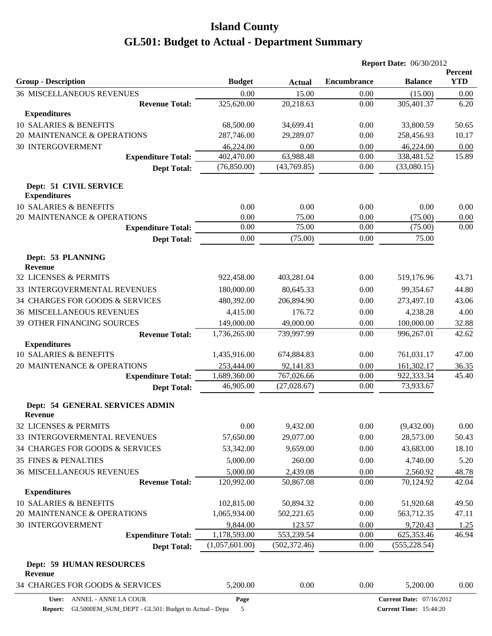|                                                          |                           |                            | <b>Report Date: 06/30/2012</b> |                                 |                       |
|----------------------------------------------------------|---------------------------|----------------------------|--------------------------------|---------------------------------|-----------------------|
| <b>Group - Description</b>                               | <b>Budget</b>             | <b>Actual</b>              | <b>Encumbrance</b>             | <b>Balance</b>                  | Percent<br><b>YTD</b> |
| <b>36 MISCELLANEOUS REVENUES</b>                         | 0.00                      | 15.00                      | 0.00                           | (15.00)                         | 0.00                  |
| <b>Revenue Total:</b>                                    | 325,620.00                | 20,218.63                  | 0.00                           | 305,401.37                      | 6.20                  |
| <b>Expenditures</b>                                      |                           |                            |                                |                                 |                       |
| 10 SALARIES & BENEFITS                                   | 68,500.00                 | 34,699.41                  | 0.00                           | 33,800.59                       | 50.65                 |
| 20 MAINTENANCE & OPERATIONS                              | 287,746.00                | 29,289.07                  | 0.00                           | 258,456.93                      | 10.17                 |
| <b>30 INTERGOVERMENT</b>                                 | 46,224.00                 | 0.00                       | 0.00                           | 46,224.00                       | 0.00                  |
| <b>Expenditure Total:</b>                                | 402,470.00                | 63,988.48                  | 0.00                           | 338,481.52                      | 15.89                 |
| <b>Dept Total:</b>                                       | (76,850.00)               | (43,769.85)                | 0.00                           | (33,080.15)                     |                       |
| Dept: 51 CIVIL SERVICE<br><b>Expenditures</b>            |                           |                            |                                |                                 |                       |
| 10 SALARIES & BENEFITS                                   | 0.00                      | 0.00                       | 0.00                           | 0.00                            | 0.00                  |
| 20 MAINTENANCE & OPERATIONS                              | 0.00                      | 75.00                      | 0.00                           | (75.00)                         | 0.00                  |
| <b>Expenditure Total:</b>                                | 0.00                      | 75.00                      | 0.00                           | (75.00)                         | 0.00                  |
| <b>Dept Total:</b>                                       | 0.00                      | (75.00)                    | 0.00                           | 75.00                           |                       |
| Dept: 53 PLANNING                                        |                           |                            |                                |                                 |                       |
| <b>Revenue</b>                                           |                           |                            |                                |                                 |                       |
| 32 LICENSES & PERMITS                                    | 922,458.00                | 403,281.04                 | 0.00                           | 519,176.96                      | 43.71                 |
| 33 INTERGOVERMENTAL REVENUES                             | 180,000.00                | 80,645.33                  | 0.00                           | 99,354.67                       | 44.80                 |
| 34 CHARGES FOR GOODS & SERVICES                          | 480,392.00                | 206,894.90                 | 0.00                           | 273,497.10                      | 43.06                 |
| <b>36 MISCELLANEOUS REVENUES</b>                         | 4,415.00                  | 176.72                     | 0.00                           | 4,238.28                        | 4.00                  |
| 39 OTHER FINANCING SOURCES                               | 149,000.00                | 49,000.00                  | 0.00                           | 100,000.00                      | 32.88                 |
| <b>Revenue Total:</b>                                    | 1,736,265.00              | 739,997.99                 | 0.00                           | 996,267.01                      | 42.62                 |
| <b>Expenditures</b>                                      |                           |                            |                                |                                 |                       |
| 10 SALARIES & BENEFITS                                   | 1,435,916.00              | 674,884.83                 | 0.00                           | 761,031.17                      | 47.00                 |
| 20 MAINTENANCE & OPERATIONS                              | 253,444.00                | 92,141.83                  | 0.00                           | 161,302.17                      | 36.35                 |
| <b>Expenditure Total:</b>                                | 1,689,360.00<br>46,905.00 | 767,026.66<br>(27, 028.67) | 0.00<br>0.00                   | 922,333.34<br>73,933.67         | 45.40                 |
| <b>Dept Total:</b>                                       |                           |                            |                                |                                 |                       |
| <b>Dept: 54 GENERAL SERVICES ADMIN</b><br><b>Revenue</b> |                           |                            |                                |                                 |                       |
| 32 LICENSES & PERMITS                                    | 0.00                      | 9,432.00                   | 0.00                           | (9,432.00)                      | 0.00                  |
| 33 INTERGOVERMENTAL REVENUES                             | 57,650.00                 | 29,077.00                  | 0.00                           | 28,573.00                       | 50.43                 |
| 34 CHARGES FOR GOODS & SERVICES                          | 53,342.00                 | 9,659.00                   | 0.00                           | 43,683.00                       | 18.10                 |
| <b>35 FINES &amp; PENALTIES</b>                          | 5,000.00                  | 260.00                     | 0.00                           | 4,740.00                        | 5.20                  |
| <b>36 MISCELLANEOUS REVENUES</b>                         | 5,000.00                  | 2,439.08                   | 0.00                           | 2,560.92                        | 48.78                 |
| <b>Revenue Total:</b>                                    | 120,992.00                | 50,867.08                  | 0.00                           | 70,124.92                       | 42.04                 |
| <b>Expenditures</b>                                      |                           |                            |                                |                                 |                       |
| 10 SALARIES & BENEFITS                                   | 102,815.00                | 50,894.32                  | 0.00                           | 51,920.68                       | 49.50                 |
| 20 MAINTENANCE & OPERATIONS                              | 1,065,934.00              | 502,221.65                 | 0.00                           | 563,712.35                      | 47.11                 |
| <b>30 INTERGOVERMENT</b>                                 | 9,844.00                  | 123.57                     | 0.00                           | 9,720.43                        | 1.25                  |
| <b>Expenditure Total:</b>                                | 1,178,593.00              | 553,239.54                 | 0.00                           | 625,353.46                      | 46.94                 |
| <b>Dept Total:</b>                                       | (1,057,601.00)            | (502, 372.46)              | 0.00                           | (555, 228.54)                   |                       |
| <b>Dept: 59 HUMAN RESOURCES</b><br>Revenue               |                           |                            |                                |                                 |                       |
| 34 CHARGES FOR GOODS & SERVICES                          | 5,200.00                  | 0.00                       | 0.00                           | 5,200.00                        | 0.00                  |
| User: ANNEL - ANNE LA COUR                               | Page                      |                            |                                | <b>Current Date: 07/16/2012</b> |                       |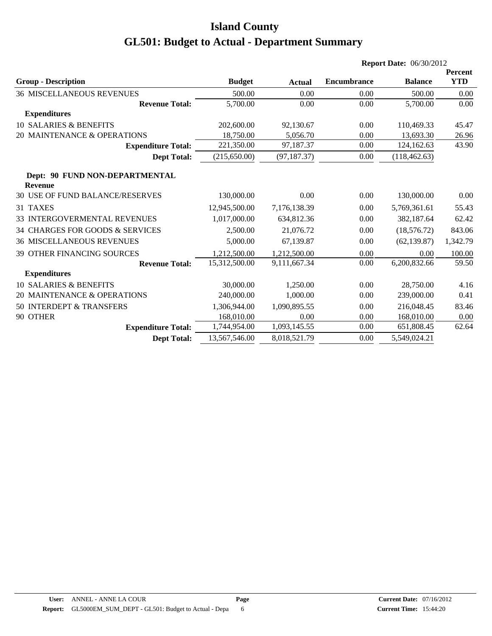|                                                  |               |               |                    | <b>Report Date: 06/30/2012</b> |                              |
|--------------------------------------------------|---------------|---------------|--------------------|--------------------------------|------------------------------|
| <b>Group - Description</b>                       | <b>Budget</b> | <b>Actual</b> | <b>Encumbrance</b> | <b>Balance</b>                 | <b>Percent</b><br><b>YTD</b> |
| <b>36 MISCELLANEOUS REVENUES</b>                 | 500.00        | 0.00          | 0.00               | 500.00                         | 0.00                         |
| <b>Revenue Total:</b>                            | 5,700.00      | 0.00          | 0.00               | 5,700.00                       | 0.00                         |
| <b>Expenditures</b>                              |               |               |                    |                                |                              |
| 10 SALARIES & BENEFITS                           | 202,600.00    | 92,130.67     | 0.00               | 110,469.33                     | 45.47                        |
| 20 MAINTENANCE & OPERATIONS                      | 18,750.00     | 5,056.70      | 0.00               | 13,693.30                      | 26.96                        |
| <b>Expenditure Total:</b>                        | 221,350.00    | 97,187.37     | 0.00               | 124,162.63                     | 43.90                        |
| <b>Dept Total:</b>                               | (215, 650.00) | (97, 187.37)  | 0.00               | (118, 462.63)                  |                              |
| Dept: 90 FUND NON-DEPARTMENTAL<br><b>Revenue</b> |               |               |                    |                                |                              |
| <b>30 USE OF FUND BALANCE/RESERVES</b>           | 130,000.00    | 0.00          | 0.00               | 130,000.00                     | 0.00                         |
| 31 TAXES                                         | 12,945,500.00 | 7,176,138.39  | 0.00               | 5,769,361.61                   | 55.43                        |
| 33 INTERGOVERMENTAL REVENUES                     | 1,017,000.00  | 634,812.36    | 0.00               | 382,187.64                     | 62.42                        |
| 34 CHARGES FOR GOODS & SERVICES                  | 2,500.00      | 21,076.72     | 0.00               | (18, 576.72)                   | 843.06                       |
| <b>36 MISCELLANEOUS REVENUES</b>                 | 5,000.00      | 67,139.87     | 0.00               | (62, 139.87)                   | 1,342.79                     |
| <b>39 OTHER FINANCING SOURCES</b>                | 1,212,500.00  | 1,212,500.00  | 0.00               | 0.00                           | 100.00                       |
| <b>Revenue Total:</b>                            | 15,312,500.00 | 9,111,667.34  | 0.00               | 6,200,832.66                   | 59.50                        |
| <b>Expenditures</b>                              |               |               |                    |                                |                              |
| <b>10 SALARIES &amp; BENEFITS</b>                | 30,000.00     | 1,250.00      | 0.00               | 28,750.00                      | 4.16                         |
| 20 MAINTENANCE & OPERATIONS                      | 240,000.00    | 1,000.00      | 0.00               | 239,000.00                     | 0.41                         |
| 50 INTERDEPT & TRANSFERS                         | 1,306,944.00  | 1,090,895.55  | 0.00               | 216,048.45                     | 83.46                        |
| 90 OTHER                                         | 168,010.00    | 0.00          | 0.00               | 168,010.00                     | 0.00                         |
| <b>Expenditure Total:</b>                        | 1,744,954.00  | 1,093,145.55  | 0.00               | 651,808.45                     | 62.64                        |
| <b>Dept Total:</b>                               | 13,567,546.00 | 8,018,521.79  | 0.00               | 5,549,024.21                   |                              |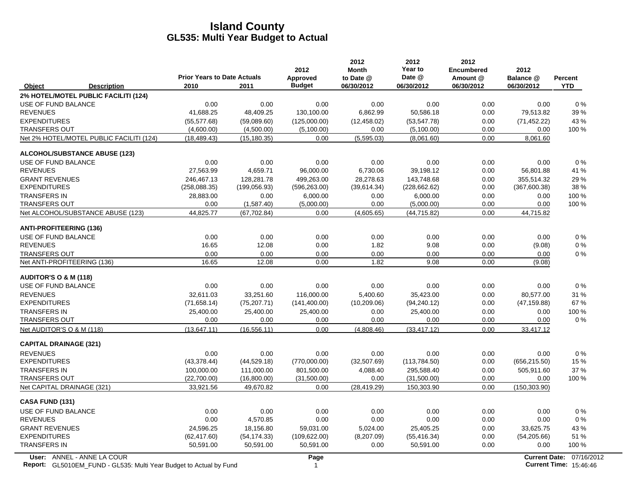|                                                                                                  | <b>Prior Years to Date Actuals</b> |               | 2012<br>Approved       | 2012<br><b>Month</b><br>to Date @ | 2012<br>Year to<br>Date @ | 2012<br><b>Encumbered</b><br>Amount @ | 2012<br>Balance @ |                                                           |
|--------------------------------------------------------------------------------------------------|------------------------------------|---------------|------------------------|-----------------------------------|---------------------------|---------------------------------------|-------------------|-----------------------------------------------------------|
| Object<br><b>Description</b>                                                                     | 2010                               | 2011          | <b>Budget</b>          | 06/30/2012                        | 06/30/2012                | 06/30/2012                            | 06/30/2012        | Percent<br><b>YTD</b>                                     |
| 2% HOTEL/MOTEL PUBLIC FACILITI (124)                                                             |                                    |               |                        |                                   |                           |                                       |                   |                                                           |
| USE OF FUND BALANCE                                                                              | 0.00                               | 0.00          | 0.00                   | 0.00                              | 0.00                      | 0.00                                  | 0.00              | $0\%$                                                     |
| <b>REVENUES</b>                                                                                  | 41,688.25                          | 48,409.25     | 130,100.00             | 6,862.99                          | 50,586.18                 | 0.00                                  | 79,513.82         | 39 %                                                      |
| <b>EXPENDITURES</b>                                                                              | (55, 577.68)                       | (59,089.60)   | (125,000.00)           | (12, 458.02)                      | (53, 547.78)              | 0.00                                  | (71, 452.22)      | 43 %                                                      |
| <b>TRANSFERS OUT</b>                                                                             | (4,600.00)                         | (4,500.00)    | (5,100.00)             | 0.00                              | (5,100.00)                | 0.00                                  | 0.00              | 100 %                                                     |
| Net 2% HOTEL/MOTEL PUBLIC FACILITI (124)                                                         | (18, 489.43)                       | (15, 180.35)  | 0.00                   | (5,595.03)                        | (8,061.60)                | 0.00                                  | 8,061.60          |                                                           |
| <b>ALCOHOL/SUBSTANCE ABUSE (123)</b>                                                             |                                    |               |                        |                                   |                           |                                       |                   |                                                           |
| USE OF FUND BALANCE                                                                              | 0.00                               | 0.00          | 0.00                   | 0.00                              | 0.00                      | 0.00                                  | 0.00              | $0\%$                                                     |
| <b>REVENUES</b>                                                                                  | 27,563.99                          | 4,659.71      | 96,000.00              | 6,730.06                          | 39,198.12                 | 0.00                                  | 56,801.88         | 41 %                                                      |
| <b>GRANT REVENUES</b>                                                                            | 246,467.13                         | 128,281.78    | 499,263.00             | 28,278.63                         | 143,748.68                | 0.00                                  | 355,514.32        | 29 %                                                      |
| <b>EXPENDITURES</b>                                                                              | (258,088.35)                       | (199, 056.93) | (596, 263.00)          | (39,614.34)                       | (228, 662.62)             | 0.00                                  | (367,600.38)      | 38 %                                                      |
| <b>TRANSFERS IN</b>                                                                              | 28,883.00                          | 0.00          | 6,000.00               | 0.00                              | 6,000.00                  | 0.00                                  | 0.00              | 100 %                                                     |
| <b>TRANSFERS OUT</b>                                                                             | 0.00                               | (1,587.40)    | (5,000.00)             | 0.00                              | (5,000.00)                | 0.00                                  | 0.00              | 100 %                                                     |
| Net ALCOHOL/SUBSTANCE ABUSE (123)                                                                | 44,825.77                          | (67, 702.84)  | 0.00                   | (4,605.65)                        | (44, 715.82)              | 0.00                                  | 44,715.82         |                                                           |
| <b>ANTI-PROFITEERING (136)</b>                                                                   |                                    |               |                        |                                   |                           |                                       |                   |                                                           |
| USE OF FUND BALANCE                                                                              | 0.00                               | 0.00          | 0.00                   | 0.00                              | 0.00                      | 0.00                                  | 0.00              | 0%                                                        |
| <b>REVENUES</b>                                                                                  | 16.65                              | 12.08         | 0.00                   | 1.82                              | 9.08                      | 0.00                                  | (9.08)            | 0%                                                        |
| <b>TRANSFERS OUT</b>                                                                             | 0.00                               | 0.00          | 0.00                   | 0.00                              | 0.00                      | 0.00                                  | 0.00              | 0%                                                        |
| Net ANTI-PROFITEERING (136)                                                                      | 16.65                              | 12.08         | 0.00                   | 1.82                              | 9.08                      | 0.00                                  | (9.08)            |                                                           |
| AUDITOR'S O & M (118)                                                                            |                                    |               |                        |                                   |                           |                                       |                   |                                                           |
| USE OF FUND BALANCE                                                                              | 0.00                               | 0.00          | 0.00                   | 0.00                              | 0.00                      | 0.00                                  | 0.00              | 0%                                                        |
| <b>REVENUES</b>                                                                                  | 32,611.03                          | 33,251.60     | 116,000.00             | 5,400.60                          | 35,423.00                 | 0.00                                  | 80,577.00         | 31 %                                                      |
| <b>EXPENDITURES</b>                                                                              | (71, 658.14)                       | (75, 207.71)  | (141, 400.00)          | (10, 209.06)                      | (94, 240.12)              | 0.00                                  | (47, 159.88)      | 67 %                                                      |
| <b>TRANSFERS IN</b>                                                                              | 25,400.00                          | 25,400.00     | 25,400.00              | 0.00                              | 25,400.00                 | 0.00                                  | 0.00              | 100 %                                                     |
| <b>TRANSFERS OUT</b>                                                                             | 0.00                               | 0.00          | 0.00                   | 0.00                              | 0.00                      | 0.00                                  | 0.00              | 0%                                                        |
| Net AUDITOR'S O & M (118)                                                                        | (13, 647.11)                       | (16, 556.11)  | 0.00                   | (4,808.46)                        | (33, 417.12)              | 0.00                                  | 33,417.12         |                                                           |
| <b>CAPITAL DRAINAGE (321)</b>                                                                    |                                    |               |                        |                                   |                           |                                       |                   |                                                           |
| <b>REVENUES</b>                                                                                  | 0.00                               | 0.00          | 0.00                   | 0.00                              | 0.00                      | 0.00                                  | 0.00              | 0%                                                        |
| <b>EXPENDITURES</b>                                                                              | (43, 378.44)                       | (44, 529.18)  | (770,000.00)           | (32,507.69)                       | (113,784.50)              | 0.00                                  | (656, 215.50)     | 15 %                                                      |
| <b>TRANSFERS IN</b>                                                                              | 100,000.00                         | 111,000.00    | 801,500.00             | 4,088.40                          | 295,588.40                | 0.00                                  | 505,911.60        | 37 %                                                      |
| <b>TRANSFERS OUT</b>                                                                             | (22,700.00)                        | (16,800.00)   | (31,500.00)            | 0.00                              | (31,500.00)               | 0.00                                  | 0.00              | 100 %                                                     |
| Net CAPITAL DRAINAGE (321)                                                                       | 33,921.56                          | 49,670.82     | 0.00                   | (28, 419.29)                      | 150,303.90                | 0.00                                  | (150, 303.90)     |                                                           |
| CASA FUND (131)                                                                                  |                                    |               |                        |                                   |                           |                                       |                   |                                                           |
| USE OF FUND BALANCE                                                                              | 0.00                               | 0.00          | 0.00                   | 0.00                              | 0.00                      | 0.00                                  | 0.00              | 0%                                                        |
| <b>REVENUES</b>                                                                                  | 0.00                               | 4,570.85      | 0.00                   | 0.00                              | 0.00                      | 0.00                                  | 0.00              | 0%                                                        |
| <b>GRANT REVENUES</b>                                                                            | 24,596.25                          | 18,156.80     | 59,031.00              | 5,024.00                          | 25,405.25                 | 0.00                                  | 33,625.75         | 43 %                                                      |
| <b>EXPENDITURES</b>                                                                              | (62, 417.60)                       | (54, 174.33)  | (109, 622.00)          | (8, 207.09)                       | (55, 416.34)              | 0.00                                  | (54, 205.66)      | 51 %                                                      |
| <b>TRANSFERS IN</b>                                                                              | 50,591.00                          | 50,591.00     | 50,591.00              | 0.00                              | 50,591.00                 | 0.00                                  | 0.00              | 100 %                                                     |
| User: ANNEL - ANNE LA COUR<br>Report: GL5010EM_FUND - GL535: Multi Year Budget to Actual by Fund |                                    |               | Page<br>$\overline{1}$ |                                   |                           |                                       |                   | Current Date: 07/16/2012<br><b>Current Time: 15:46:46</b> |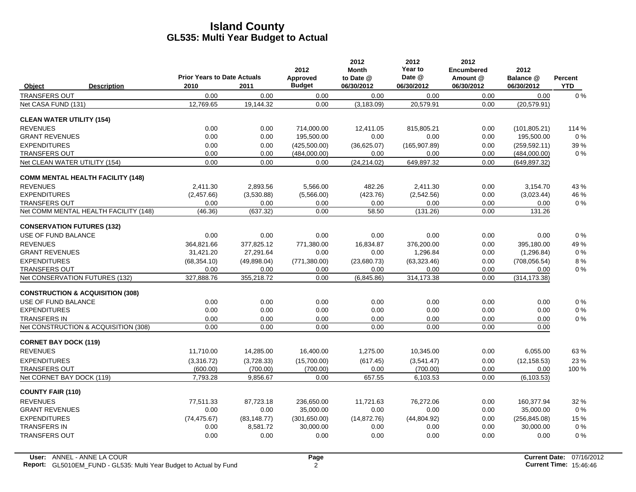|                                             |                                    |              | 2012            | 2012<br><b>Month</b> | 2012<br>Year to | 2012<br><b>Encumbered</b> | 2012          |                |
|---------------------------------------------|------------------------------------|--------------|-----------------|----------------------|-----------------|---------------------------|---------------|----------------|
|                                             | <b>Prior Years to Date Actuals</b> |              | <b>Approved</b> | to Date @            | Date @          | Amount @                  | Balance @     | <b>Percent</b> |
| <b>Description</b><br>Object                | 2010                               | 2011         | <b>Budget</b>   | 06/30/2012           | 06/30/2012      | 06/30/2012                | 06/30/2012    | <b>YTD</b>     |
| <b>TRANSFERS OUT</b>                        | 0.00                               | 0.00         | 0.00            | 0.00                 | 0.00            | 0.00                      | 0.00          | 0%             |
| Net CASA FUND (131)                         | 12.769.65                          | 19,144.32    | 0.00            | (3, 183.09)          | 20,579.91       | 0.00                      | (20.579.91)   |                |
| <b>CLEAN WATER UTILITY (154)</b>            |                                    |              |                 |                      |                 |                           |               |                |
| <b>REVENUES</b>                             | 0.00                               | 0.00         | 714,000.00      | 12,411.05            | 815,805.21      | 0.00                      | (101, 805.21) | 114 %          |
| <b>GRANT REVENUES</b>                       | 0.00                               | 0.00         | 195,500.00      | 0.00                 | 0.00            | 0.00                      | 195,500.00    | $0\%$          |
| <b>EXPENDITURES</b>                         | 0.00                               | 0.00         | (425,500.00)    | (36,625.07)          | (165.907.89)    | 0.00                      | (259, 592.11) | 39 %           |
| <b>TRANSFERS OUT</b>                        | 0.00                               | 0.00         | (484,000.00)    | 0.00                 | 0.00            | 0.00                      | (484,000.00)  | $0\%$          |
| Net CLEAN WATER UTILITY (154)               | 0.00                               | 0.00         | 0.00            | (24, 214.02)         | 649.897.32      | 0.00                      | (649.897.32)  |                |
| <b>COMM MENTAL HEALTH FACILITY (148)</b>    |                                    |              |                 |                      |                 |                           |               |                |
| <b>REVENUES</b>                             | 2,411.30                           | 2,893.56     | 5,566.00        | 482.26               | 2,411.30        | 0.00                      | 3,154.70      | 43 %           |
| <b>EXPENDITURES</b>                         | (2,457.66)                         | (3,530.88)   | (5,566.00)      | (423.76)             | (2,542.56)      | 0.00                      | (3,023.44)    | 46 %           |
| <b>TRANSFERS OUT</b>                        | 0.00                               | 0.00         | 0.00            | 0.00                 | 0.00            | 0.00                      | 0.00          | $0\%$          |
| Net COMM MENTAL HEALTH FACILITY (148)       | (46.36)                            | (637.32)     | 0.00            | 58.50                | (131.26)        | 0.00                      | 131.26        |                |
| <b>CONSERVATION FUTURES (132)</b>           |                                    |              |                 |                      |                 |                           |               |                |
| <b>USE OF FUND BALANCE</b>                  | 0.00                               | 0.00         | 0.00            | 0.00                 | 0.00            | 0.00                      | 0.00          | 0%             |
| <b>REVENUES</b>                             | 364.821.66                         | 377.825.12   | 771,380.00      | 16.834.87            | 376.200.00      | 0.00                      | 395.180.00    | 49%            |
| <b>GRANT REVENUES</b>                       | 31,421.20                          | 27,291.64    | 0.00            | 0.00                 | 1,296.84        | 0.00                      | (1,296.84)    | $0\%$          |
| <b>EXPENDITURES</b>                         | (68, 354.10)                       | (49,898.04)  | (771, 380.00)   | (23,680.73)          | (63, 323.46)    | 0.00                      | (708, 056.54) | 8%             |
| <b>TRANSFERS OUT</b>                        | 0.00                               | 0.00         | 0.00            | 0.00                 | 0.00            | 0.00                      | 0.00          | $0\%$          |
| Net CONSERVATION FUTURES (132)              | 327,888.76                         | 355,218.72   | 0.00            | (6,845.86)           | 314,173.38      | 0.00                      | (314, 173.38) |                |
| <b>CONSTRUCTION &amp; ACQUISITION (308)</b> |                                    |              |                 |                      |                 |                           |               |                |
| USE OF FUND BALANCE                         | 0.00                               | 0.00         | 0.00            | 0.00                 | 0.00            | 0.00                      | 0.00          | $0\%$          |
| <b>EXPENDITURES</b>                         | 0.00                               | 0.00         | 0.00            | 0.00                 | 0.00            | 0.00                      | 0.00          | $0\%$          |
| <b>TRANSFERS IN</b>                         | 0.00                               | 0.00         | 0.00            | 0.00                 | 0.00            | 0.00                      | 0.00          | $0\%$          |
| Net CONSTRUCTION & ACQUISITION (308)        | 0.00                               | 0.00         | 0.00            | 0.00                 | 0.00            | 0.00                      | 0.00          |                |
| <b>CORNET BAY DOCK (119)</b>                |                                    |              |                 |                      |                 |                           |               |                |
| <b>REVENUES</b>                             | 11,710.00                          | 14,285.00    | 16,400.00       | 1,275.00             | 10,345.00       | 0.00                      | 6,055.00      | 63%            |
| <b>EXPENDITURES</b>                         | (3,316.72)                         | (3,728.33)   | (15,700.00)     | (617.45)             | (3,541.47)      | 0.00                      | (12, 158.53)  | 23 %           |
| <b>TRANSFERS OUT</b>                        | (600.00)                           | (700.00)     | (700.00)        | 0.00                 | (700.00)        | 0.00                      | 0.00          | 100 %          |
| Net CORNET BAY DOCK (119)                   | 7,793.28                           | 9,856.67     | 0.00            | 657.55               | 6,103.53        | 0.00                      | (6, 103.53)   |                |
| <b>COUNTY FAIR (110)</b>                    |                                    |              |                 |                      |                 |                           |               |                |
| <b>REVENUES</b>                             | 77.511.33                          | 87,723.18    | 236,650.00      | 11.721.63            | 76.272.06       | 0.00                      | 160,377.94    | 32 %           |
| <b>GRANT REVENUES</b>                       | 0.00                               | 0.00         | 35,000.00       | 0.00                 | 0.00            | 0.00                      | 35,000.00     | $0\%$          |
| <b>EXPENDITURES</b>                         | (74, 475.67)                       | (83, 148.77) | (301, 650.00)   | (14, 872.76)         | (44,804.92)     | 0.00                      | (256, 845.08) | 15 %           |
| <b>TRANSFERS IN</b>                         | 0.00                               | 8,581.72     | 30,000.00       | 0.00                 | 0.00            | 0.00                      | 30,000.00     | $0\%$          |
| <b>TRANSFERS OUT</b>                        | 0.00                               | 0.00         | 0.00            | 0.00                 | 0.00            | 0.00                      | 0.00          | $0\%$          |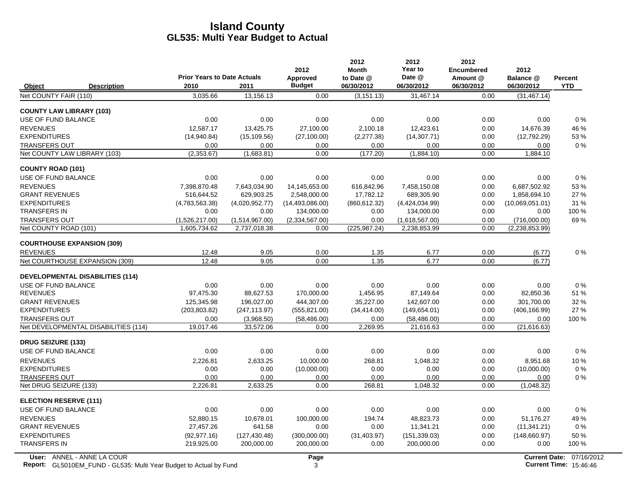|                                               |                                    |                                | 2012                   | 2012<br><b>Month</b>  | 2012<br>Year to                | 2012<br><b>Encumbered</b> | 2012                           |                |
|-----------------------------------------------|------------------------------------|--------------------------------|------------------------|-----------------------|--------------------------------|---------------------------|--------------------------------|----------------|
|                                               | <b>Prior Years to Date Actuals</b> |                                | Approved               | to Date @             | Date @                         | Amount @                  | Balance @                      | <b>Percent</b> |
| Object<br><b>Description</b>                  | 2010                               | 2011                           | <b>Budget</b>          | 06/30/2012            | 06/30/2012                     | 06/30/2012                | 06/30/2012                     | <b>YTD</b>     |
| Net COUNTY FAIR (110)                         | 3,035.66                           | 13,156.13                      | 0.00                   | (3, 151.13)           | 31,467.14                      | 0.00                      | (31, 467.14)                   |                |
| <b>COUNTY LAW LIBRARY (103)</b>               |                                    |                                |                        |                       |                                |                           |                                |                |
| USE OF FUND BALANCE                           | 0.00                               | 0.00                           | 0.00                   | 0.00                  | 0.00                           | 0.00                      | 0.00                           | 0%             |
| <b>REVENUES</b>                               | 12.587.17                          | 13,425.75                      | 27.100.00              | 2.100.18              | 12.423.61                      | 0.00                      | 14,676.39                      | 46 %           |
| <b>EXPENDITURES</b>                           | (14,940.84)                        | (15, 109.56)                   | (27, 100.00)           | (2,277.38)            | (14, 307.71)                   | 0.00                      | (12,792.29)                    | 53%            |
| <b>TRANSFERS OUT</b>                          | 0.00                               | 0.00                           | 0.00                   | 0.00                  | 0.00                           | 0.00                      | 0.00                           | $0\%$          |
| Net COUNTY LAW LIBRARY (103)                  | (2,353.67)                         | (1,683.81)                     | 0.00                   | (177.20)              | (1,884.10)                     | 0.00                      | 1,884.10                       |                |
| <b>COUNTY ROAD (101)</b>                      |                                    |                                |                        |                       |                                |                           |                                |                |
| USE OF FUND BALANCE                           | 0.00                               | 0.00                           | 0.00                   | 0.00                  | 0.00                           | 0.00                      | 0.00                           | 0%             |
| <b>REVENUES</b>                               | 7.398.870.48                       | 7.643.034.90                   | 14.145.653.00          | 616.842.96            | 7.458.150.08                   | 0.00                      | 6.687.502.92                   | 53%            |
| <b>GRANT REVENUES</b>                         | 516,644.52                         | 629,903.25                     | 2,548,000.00           | 17,782.12             | 689,305.90                     | 0.00                      | 1,858,694.10                   | 27 %           |
| <b>EXPENDITURES</b>                           | (4,783,563.38)                     | (4,020,952.77)                 | (14, 493, 086, 00)     | (860, 612.32)         | (4,424,034.99)                 | 0.00                      | (10,069,051.01)                | 31 %           |
| <b>TRANSFERS IN</b>                           | 0.00                               | 0.00                           | 134,000.00             | 0.00                  | 134,000.00                     | 0.00                      | 0.00                           | 100 %          |
| <b>TRANSFERS OUT</b><br>Net COUNTY ROAD (101) | (1,526,217.00)<br>1,605,734.62     | (1,514,967.00)<br>2,737,018.38 | (2,334,567.00)<br>0.00 | 0.00<br>(225, 987.24) | (1,618,567.00)<br>2,238,853.99 | 0.00<br>0.00              | (716,000.00)<br>(2,238,853.99) | 69%            |
|                                               |                                    |                                |                        |                       |                                |                           |                                |                |
| <b>COURTHOUSE EXPANSION (309)</b>             |                                    |                                |                        |                       |                                |                           |                                |                |
| <b>REVENUES</b>                               | 12.48                              | 9.05                           | 0.00                   | 1.35                  | 6.77                           | 0.00                      | (6.77)                         | 0%             |
| Net COURTHOUSE EXPANSION (309)                | 12.48                              | 9.05                           | 0.00                   | 1.35                  | 6.77                           | 0.00                      | (6.77)                         |                |
| <b>DEVELOPMENTAL DISABILITIES (114)</b>       |                                    |                                |                        |                       |                                |                           |                                |                |
| USE OF FUND BALANCE                           | 0.00                               | 0.00                           | 0.00                   | 0.00                  | 0.00                           | 0.00                      | 0.00                           | 0%             |
| <b>REVENUES</b>                               | 97,475.30                          | 88,627.53                      | 170,000.00             | 1,456.95              | 87,149.64                      | 0.00                      | 82,850.36                      | 51 %           |
| <b>GRANT REVENUES</b>                         | 125,345.98                         | 196,027.00                     | 444,307.00             | 35,227.00             | 142,607.00                     | 0.00                      | 301,700.00                     | 32 %           |
| <b>EXPENDITURES</b>                           | (203, 803.82)                      | (247, 113.97)                  | (555, 821.00)          | (34, 414.00)          | (149, 654.01)                  | 0.00                      | (406, 166.99)                  | 27 %           |
| <b>TRANSFERS OUT</b>                          | 0.00                               | (3,968.50)                     | (58, 486.00)           | 0.00                  | (58, 486.00)                   | 0.00                      | 0.00                           | 100 %          |
| Net DEVELOPMENTAL DISABILITIES (114)          | 19.017.46                          | 33,572.06                      | 0.00                   | 2.269.95              | 21,616.63                      | 0.00                      | (21,616.63)                    |                |
| <b>DRUG SEIZURE (133)</b>                     |                                    |                                |                        |                       |                                |                           |                                |                |
| USE OF FUND BALANCE                           | 0.00                               | 0.00                           | 0.00                   | 0.00                  | 0.00                           | 0.00                      | 0.00                           | $0\%$          |
| <b>REVENUES</b>                               | 2.226.81                           | 2,633.25                       | 10,000.00              | 268.81                | 1.048.32                       | 0.00                      | 8,951.68                       | 10%            |
| <b>EXPENDITURES</b>                           | 0.00                               | 0.00                           | (10,000.00)            | 0.00                  | 0.00                           | 0.00                      | (10,000.00)                    | $0\%$          |
| <b>TRANSFERS OUT</b>                          | 0.00                               | 0.00                           | 0.00                   | 0.00                  | 0.00                           | 0.00                      | 0.00                           | $0\%$          |
| Net DRUG SEIZURE (133)                        | 2,226.81                           | 2,633.25                       | 0.00                   | 268.81                | 1,048.32                       | 0.00                      | (1,048.32)                     |                |
| <b>ELECTION RESERVE (111)</b>                 |                                    |                                |                        |                       |                                |                           |                                |                |
| USE OF FUND BALANCE                           | 0.00                               | 0.00                           | 0.00                   | 0.00                  | 0.00                           | 0.00                      | 0.00                           | $0\%$          |
| <b>REVENUES</b>                               | 52.880.15                          | 10,678.01                      | 100,000.00             | 194.74                | 48.823.73                      | 0.00                      | 51.176.27                      | 49%            |
| <b>GRANT REVENUES</b>                         | 27,457.26                          | 641.58                         | 0.00                   | 0.00                  | 11,341.21                      | 0.00                      | (11, 341.21)                   | $0\%$          |
| <b>EXPENDITURES</b>                           | (92, 977, 16)                      | (127, 430.48)                  | (300,000.00)           | (31, 403.97)          | (151, 339.03)                  | 0.00                      | (148,660.97)                   | 50 %           |
| <b>TRANSFERS IN</b>                           | 219,925.00                         | 200,000.00                     | 200,000.00             | 0.00                  | 200,000.00                     | 0.00                      | 0.00                           | 100 %          |
|                                               |                                    |                                |                        |                       |                                |                           |                                |                |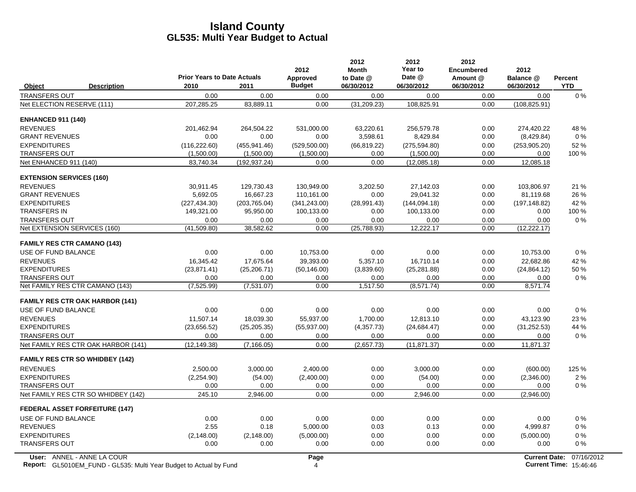|                                 |                                        | <b>Prior Years to Date Actuals</b> |               | 2012<br>Approved | 2012<br><b>Month</b><br>to Date @ | 2012<br>Year to<br>Date @ | 2012<br><b>Encumbered</b><br>Amount @ | 2012<br>Balance @    | Percent    |
|---------------------------------|----------------------------------------|------------------------------------|---------------|------------------|-----------------------------------|---------------------------|---------------------------------------|----------------------|------------|
| Object                          | <b>Description</b>                     | 2010                               | 2011          | <b>Budget</b>    | 06/30/2012                        | 06/30/2012                | 06/30/2012                            | 06/30/2012           | <b>YTD</b> |
| <b>TRANSFERS OUT</b>            |                                        | 0.00                               | 0.00          | 0.00             | 0.00                              | 0.00                      | 0.00                                  | 0.00                 | $0\%$      |
| Net ELECTION RESERVE (111)      |                                        | 207,285.25                         | 83,889.11     | 0.00             | (31, 209.23)                      | 108,825.91                | 0.00                                  | (108, 825.91)        |            |
| <b>ENHANCED 911 (140)</b>       |                                        |                                    |               |                  |                                   |                           |                                       |                      |            |
| <b>REVENUES</b>                 |                                        | 201,462.94                         | 264,504.22    | 531,000.00       | 63,220.61                         | 256,579.78                | 0.00                                  | 274.420.22           | 48 %       |
| <b>GRANT REVENUES</b>           |                                        | 0.00                               | 0.00          | 0.00             | 3,598.61                          | 8,429.84                  | 0.00                                  | (8,429.84)           | $0\%$      |
| <b>EXPENDITURES</b>             |                                        | (116, 222.60)                      | (455, 941.46) | (529, 500.00)    | (66, 819.22)                      | (275, 594.80)             | 0.00                                  | (253, 905.20)        | 52 %       |
| <b>TRANSFERS OUT</b>            |                                        | (1,500.00)                         | (1,500.00)    | (1,500.00)       | 0.00                              | (1,500.00)                | 0.00                                  | 0.00                 | $100\%$    |
| Net ENHANCED 911 (140)          |                                        | 83,740.34                          | (192, 937.24) | 0.00             | 0.00                              | (12,085.18)               | 0.00                                  | 12,085.18            |            |
| <b>EXTENSION SERVICES (160)</b> |                                        |                                    |               |                  |                                   |                           |                                       |                      |            |
| <b>REVENUES</b>                 |                                        | 30,911.45                          | 129,730.43    | 130,949.00       | 3,202.50                          | 27,142.03                 | 0.00                                  | 103,806.97           | 21 %       |
| <b>GRANT REVENUES</b>           |                                        | 5,692.05                           | 16,667.23     | 110,161.00       | 0.00                              | 29,041.32                 | 0.00                                  | 81,119.68            | 26 %       |
| <b>EXPENDITURES</b>             |                                        | (227, 434.30)                      | (203, 765.04) | (341, 243.00)    | (28,991.43)                       | (144, 094.18)             | 0.00                                  | (197, 148.82)        | 42 %       |
| <b>TRANSFERS IN</b>             |                                        | 149,321.00                         | 95,950.00     | 100,133.00       | 0.00                              | 100,133.00                | 0.00                                  | 0.00                 | 100 %      |
| <b>TRANSFERS OUT</b>            |                                        | 0.00                               | 0.00          | 0.00             | 0.00                              | 0.00                      | 0.00                                  | 0.00                 | $0\%$      |
| Net EXTENSION SERVICES (160)    |                                        | (41,509.80)                        | 38,582.62     | 0.00             | (25,788.93)                       | 12,222.17                 | 0.00                                  | (12, 222.17)         |            |
|                                 | <b>FAMILY RES CTR CAMANO (143)</b>     |                                    |               |                  |                                   |                           |                                       |                      |            |
| USE OF FUND BALANCE             |                                        | 0.00                               | 0.00          | 10,753.00        | 0.00                              | 0.00                      | 0.00                                  | 10,753.00            | $0\%$      |
| <b>REVENUES</b>                 |                                        | 16,345.42                          | 17,675.64     | 39,393.00        | 5,357.10                          | 16,710.14                 | 0.00                                  | 22,682.86            | 42 %       |
| <b>EXPENDITURES</b>             |                                        | (23, 871.41)                       | (25, 206.71)  | (50, 146.00)     | (3,839.60)                        | (25, 281.88)              | 0.00                                  | (24, 864.12)         | 50 %       |
| <b>TRANSFERS OUT</b>            |                                        | 0.00                               | 0.00          | 0.00             | 0.00                              | 0.00                      | 0.00                                  | 0.00                 | $0\%$      |
|                                 | Net FAMILY RES CTR CAMANO (143)        | (7,525.99)                         | (7,531.07)    | 0.00             | 1,517.50                          | (8,571.74)                | 0.00                                  | 8,571.74             |            |
|                                 | <b>FAMILY RES CTR OAK HARBOR (141)</b> |                                    |               |                  |                                   |                           |                                       |                      |            |
| USE OF FUND BALANCE             |                                        | 0.00                               | 0.00          | 0.00             | 0.00                              | 0.00                      | 0.00                                  | 0.00                 | $0\%$      |
| <b>REVENUES</b>                 |                                        | 11.507.14                          | 18.039.30     | 55.937.00        | 1.700.00                          | 12.813.10                 | 0.00                                  | 43.123.90            | 23 %       |
| <b>EXPENDITURES</b>             |                                        | (23,656.52)                        | (25, 205.35)  | (55, 937.00)     | (4,357.73)                        | (24, 684.47)              | 0.00                                  | (31, 252.53)         | 44 %       |
| <b>TRANSFERS OUT</b>            |                                        | 0.00                               | 0.00          | 0.00             | 0.00                              | 0.00                      | 0.00                                  | 0.00                 | $0\%$      |
|                                 | Net FAMILY RES CTR OAK HARBOR (141)    | (12, 149.38)                       | (7, 166.05)   | 0.00             | (2,657.73)                        | (11, 871.37)              | 0.00                                  | 11,871.37            |            |
|                                 | <b>FAMILY RES CTR SO WHIDBEY (142)</b> |                                    |               |                  |                                   |                           |                                       |                      |            |
| <b>REVENUES</b>                 |                                        | 2,500.00                           | 3,000.00      | 2,400.00         | 0.00                              | 3,000.00                  | 0.00                                  | (600.00)             | 125 %      |
| <b>EXPENDITURES</b>             |                                        | (2,254.90)                         | (54.00)       | (2,400.00)       | 0.00                              | (54.00)                   | 0.00                                  | (2,346.00)           | 2%         |
| <b>TRANSFERS OUT</b>            |                                        | 0.00                               | 0.00          | 0.00             | 0.00                              | 0.00                      | 0.00                                  | 0.00                 | $0\%$      |
|                                 | Net FAMILY RES CTR SO WHIDBEY (142)    | 245.10                             | 2,946.00      | 0.00             | 0.00                              | 2,946.00                  | 0.00                                  | (2,946.00)           |            |
|                                 | <b>FEDERAL ASSET FORFEITURE (147)</b>  |                                    |               |                  |                                   |                           |                                       |                      |            |
| USE OF FUND BALANCE             |                                        | 0.00                               | 0.00          | 0.00             | 0.00                              | 0.00                      | 0.00                                  | 0.00                 | $0\%$      |
| <b>REVENUES</b>                 |                                        | 2.55                               | 0.18          | 5,000.00         | 0.03                              | 0.13                      | 0.00                                  | 4,999.87             | $0\%$      |
| <b>EXPENDITURES</b>             |                                        | (2, 148.00)                        | (2, 148.00)   | (5,000.00)       | 0.00                              | 0.00                      | 0.00                                  | (5,000.00)           | $0\%$      |
| <b>TRANSFERS OUT</b>            |                                        | 0.00                               | 0.00          | 0.00             | 0.00                              | 0.00                      | 0.00                                  | 0.00                 | $0\%$      |
|                                 | User: ANNEL - ANNE LA COUR             |                                    |               | Page             |                                   |                           |                                       | <b>Current Date:</b> | 07/16/2    |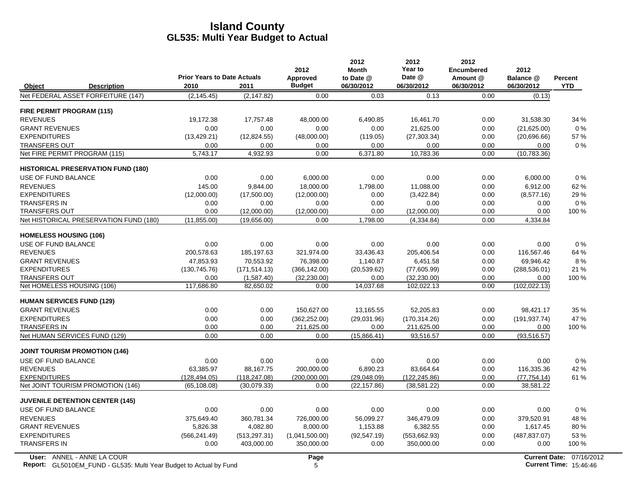|                               |                                                                    | <b>Prior Years to Date Actuals</b> |               | 2012<br>Approved | 2012<br><b>Month</b><br>to Date @ | 2012<br>Year to<br>Date @ | 2012<br><b>Encumbered</b><br>Amount @ | 2012<br>Balance @ | Percent                       |
|-------------------------------|--------------------------------------------------------------------|------------------------------------|---------------|------------------|-----------------------------------|---------------------------|---------------------------------------|-------------------|-------------------------------|
| Object                        | <b>Description</b>                                                 | 2010                               | 2011          | <b>Budget</b>    | 06/30/2012                        | 06/30/2012                | 06/30/2012                            | 06/30/2012        | <b>YTD</b>                    |
|                               | Net FEDERAL ASSET FORFEITURE (147)                                 | (2, 145.45)                        | (2, 147.82)   | 0.00             | 0.03                              | 0.13                      | 0.00                                  | (0.13)            |                               |
| FIRE PERMIT PROGRAM (115)     |                                                                    |                                    |               |                  |                                   |                           |                                       |                   |                               |
| <b>REVENUES</b>               |                                                                    | 19,172.38                          | 17,757.48     | 48,000.00        | 6,490.85                          | 16,461.70                 | 0.00                                  | 31,538.30         | 34 %                          |
| <b>GRANT REVENUES</b>         |                                                                    | 0.00                               | 0.00          | 0.00             | 0.00                              | 21,625.00                 | 0.00                                  | (21,625.00)       | 0%                            |
| <b>EXPENDITURES</b>           |                                                                    | (13, 429.21)                       | (12,824.55)   | (48,000.00)      | (119.05)                          | (27, 303.34)              | 0.00                                  | (20,696.66)       | 57 %                          |
| <b>TRANSFERS OUT</b>          |                                                                    | 0.00                               | 0.00          | 0.00             | 0.00                              | 0.00                      | 0.00                                  | 0.00              | $0\%$                         |
|                               | Net FIRE PERMIT PROGRAM (115)                                      | 5,743.17                           | 4,932.93      | 0.00             | 6,371.80                          | 10,783.36                 | 0.00                                  | (10,783.36)       |                               |
|                               | <b>HISTORICAL PRESERVATION FUND (180)</b>                          |                                    |               |                  |                                   |                           |                                       |                   |                               |
| USE OF FUND BALANCE           |                                                                    | 0.00                               | 0.00          | 6,000.00         | 0.00                              | 0.00                      | 0.00                                  | 6,000.00          | 0%                            |
| <b>REVENUES</b>               |                                                                    | 145.00                             | 9,844.00      | 18,000.00        | 1,798.00                          | 11,088.00                 | 0.00                                  | 6.912.00          | 62%                           |
| <b>EXPENDITURES</b>           |                                                                    | (12,000.00)                        | (17,500.00)   | (12,000.00)      | 0.00                              | (3,422.84)                | 0.00                                  | (8,577.16)        | 29 %                          |
| <b>TRANSFERS IN</b>           |                                                                    | 0.00                               | 0.00          | 0.00             | 0.00                              | 0.00                      | 0.00                                  | 0.00              | $0\%$                         |
| <b>TRANSFERS OUT</b>          |                                                                    | 0.00                               | (12,000.00)   | (12,000.00)      | 0.00                              | (12,000.00)               | 0.00                                  | 0.00              | 100 %                         |
|                               | Net HISTORICAL PRESERVATION FUND (180)                             | (11.855.00)                        | (19,656.00)   | 0.00             | 1,798.00                          | (4,334.84)                | 0.00                                  | 4,334.84          |                               |
| <b>HOMELESS HOUSING (106)</b> |                                                                    |                                    |               |                  |                                   |                           |                                       |                   |                               |
| USE OF FUND BALANCE           |                                                                    | 0.00                               | 0.00          | 0.00             | 0.00                              | 0.00                      | 0.00                                  | 0.00              | $0\%$                         |
| <b>REVENUES</b>               |                                                                    | 200,578.63                         | 185,197.63    | 321,974.00       | 33,436.43                         | 205,406.54                | 0.00                                  | 116,567.46        | 64 %                          |
| <b>GRANT REVENUES</b>         |                                                                    | 47,853.93                          | 70,553.92     | 76,398.00        | 1,140.87                          | 6,451.58                  | 0.00                                  | 69,946.42         | 8%                            |
| <b>EXPENDITURES</b>           |                                                                    | (130, 745.76)                      | (171, 514.13) | (366, 142.00)    | (20, 539.62)                      | (77,605.99)               | 0.00                                  | (288, 536.01)     | 21 %                          |
| <b>TRANSFERS OUT</b>          |                                                                    | 0.00                               | (1,587.40)    | (32, 230.00)     | 0.00                              | (32, 230.00)              | 0.00                                  | 0.00              | 100 %                         |
|                               | Net HOMELESS HOUSING (106)                                         | 117,686.80                         | 82,650.02     | 0.00             | 14,037.68                         | 102,022.13                | 0.00                                  | (102, 022, 13)    |                               |
|                               | <b>HUMAN SERVICES FUND (129)</b>                                   |                                    |               |                  |                                   |                           |                                       |                   |                               |
| <b>GRANT REVENUES</b>         |                                                                    | 0.00                               | 0.00          | 150,627.00       | 13,165.55                         | 52,205.83                 | 0.00                                  | 98,421.17         | 35 %                          |
| <b>EXPENDITURES</b>           |                                                                    | 0.00                               | 0.00          | (362, 252.00)    | (29,031.96)                       | (170, 314.26)             | 0.00                                  | (191, 937.74)     | 47 %                          |
| <b>TRANSFERS IN</b>           |                                                                    | 0.00                               | 0.00          | 211,625.00       | 0.00                              | 211,625.00                | 0.00                                  | 0.00              | 100 %                         |
|                               | Net HUMAN SERVICES FUND (129)                                      | 0.00                               | 0.00          | 0.00             | (15,866.41)                       | 93,516.57                 | 0.00                                  | (93, 516.57)      |                               |
|                               | <b>JOINT TOURISM PROMOTION (146)</b>                               |                                    |               |                  |                                   |                           |                                       |                   |                               |
| USE OF FUND BALANCE           |                                                                    | 0.00                               | 0.00          | 0.00             | 0.00                              | 0.00                      | 0.00                                  | 0.00              | 0%                            |
| <b>REVENUES</b>               |                                                                    | 63,385.97                          | 88,167.75     | 200,000.00       | 6.890.23                          | 83,664.64                 | 0.00                                  | 116,335.36        | 42 %                          |
| <b>EXPENDITURES</b>           |                                                                    | (128, 494.05)                      | (118, 247.08) | (200,000.00)     | (29,048.09)                       | (122, 245.86)             | 0.00                                  | (77, 754.14)      | 61%                           |
|                               | Net JOINT TOURISM PROMOTION (146)                                  | (65, 108.08)                       | (30,079.33)   | 0.00             | (22, 157.86)                      | (38, 581.22)              | 0.00                                  | 38,581.22         |                               |
|                               | <b>JUVENILE DETENTION CENTER (145)</b>                             |                                    |               |                  |                                   |                           |                                       |                   |                               |
| USE OF FUND BALANCE           |                                                                    | 0.00                               | 0.00          | 0.00             | 0.00                              | 0.00                      | 0.00                                  | 0.00              | 0%                            |
| <b>REVENUES</b>               |                                                                    | 375,649.40                         | 360,781.34    | 726,000.00       | 56,099.27                         | 346,479.09                | 0.00                                  | 379,520.91        | 48 %                          |
| <b>GRANT REVENUES</b>         |                                                                    | 5,826.38                           | 4,082.80      | 8,000.00         | 1,153.88                          | 6,382.55                  | 0.00                                  | 1,617.45          | 80%                           |
| <b>EXPENDITURES</b>           |                                                                    | (566, 241.49)                      | (513, 297.31) | (1,041,500.00)   | (92, 547.19)                      | (553, 662.93)             | 0.00                                  | (487, 837.07)     | 53 %                          |
| <b>TRANSFERS IN</b>           |                                                                    | 0.00                               | 403,000.00    | 350,000.00       | 0.00                              | 350,000.00                | 0.00                                  | 0.00              | 100 %                         |
|                               | User: ANNEL - ANNE LA COUR                                         |                                    |               | Page             |                                   |                           |                                       |                   | Current Date: 07/16/2012      |
|                               | Report: GL5010EM_FUND - GL535: Multi Year Budget to Actual by Fund |                                    |               | 5                |                                   |                           |                                       |                   | <b>Current Time: 15:46:46</b> |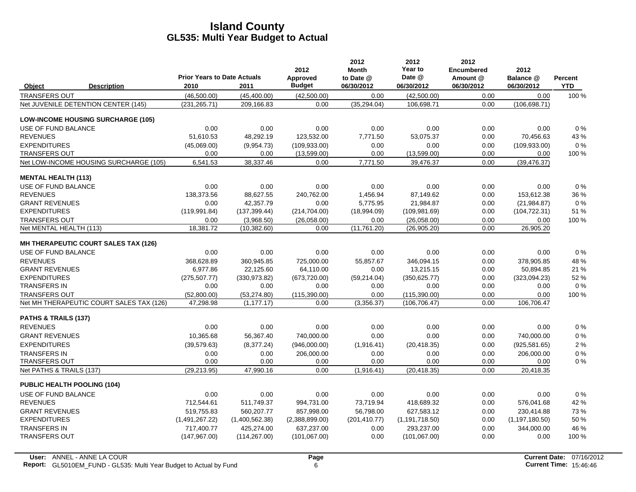|                                             | <b>Prior Years to Date Actuals</b> |                | 2012<br>Approved | 2012<br><b>Month</b><br>to Date @ | 2012<br>Year to<br>Date @ | 2012<br><b>Encumbered</b><br>Amount @ | 2012<br>Balance @ | <b>Percent</b> |
|---------------------------------------------|------------------------------------|----------------|------------------|-----------------------------------|---------------------------|---------------------------------------|-------------------|----------------|
| Object<br><b>Description</b>                | 2010                               | 2011           | <b>Budget</b>    | 06/30/2012                        | 06/30/2012                | 06/30/2012                            | 06/30/2012        | <b>YTD</b>     |
| <b>TRANSFERS OUT</b>                        | (46.500.00)                        | (45, 400.00)   | (42,500.00)      | 0.00                              | (42,500.00)               | 0.00                                  | 0.00              | 100 %          |
| Net JUVENILE DETENTION CENTER (145)         | (231, 265.71)                      | 209,166.83     | 0.00             | (35, 294.04)                      | 106,698.71                | 0.00                                  | (106, 698.71)     |                |
| <b>LOW-INCOME HOUSING SURCHARGE (105)</b>   |                                    |                |                  |                                   |                           |                                       |                   |                |
| <b>USE OF FUND BALANCE</b>                  | 0.00                               | 0.00           | 0.00             | 0.00                              | 0.00                      | 0.00                                  | 0.00              | 0%             |
| <b>REVENUES</b>                             | 51,610.53                          | 48,292.19      | 123,532.00       | 7,771.50                          | 53,075.37                 | 0.00                                  | 70,456.63         | 43 %           |
| <b>EXPENDITURES</b>                         | (45,069.00)                        | (9,954.73)     | (109.933.00)     | 0.00                              | 0.00                      | 0.00                                  | (109.933.00)      | 0%             |
| <b>TRANSFERS OUT</b>                        | 0.00                               | 0.00           | (13,599.00)      | 0.00                              | (13,599.00)               | 0.00                                  | 0.00              | 100 %          |
| Net LOW-INCOME HOUSING SURCHARGE (105)      | 6,541.53                           | 38,337.46      | 0.00             | 7.771.50                          | 39,476.37                 | 0.00                                  | (39, 476.37)      |                |
| <b>MENTAL HEALTH (113)</b>                  |                                    |                |                  |                                   |                           |                                       |                   |                |
| USE OF FUND BALANCE                         | 0.00                               | 0.00           | 0.00             | 0.00                              | 0.00                      | 0.00                                  | 0.00              | 0%             |
| <b>REVENUES</b>                             | 138,373.56                         | 88,627.55      | 240,762.00       | 1,456.94                          | 87,149.62                 | 0.00                                  | 153,612.38        | 36 %           |
| <b>GRANT REVENUES</b>                       | 0.00                               | 42.357.79      | 0.00             | 5.775.95                          | 21.984.87                 | 0.00                                  | (21, 984.87)      | $0\%$          |
| <b>EXPENDITURES</b>                         | (119, 991.84)                      | (137, 399.44)  | (214, 704.00)    | (18,994.09)                       | (109, 981.69)             | 0.00                                  | (104, 722.31)     | 51 %           |
| <b>TRANSFERS OUT</b>                        | 0.00                               | (3,968.50)     | (26,058.00)      | 0.00                              | (26,058.00)               | 0.00                                  | 0.00              | 100 %          |
| Net MENTAL HEALTH (113)                     | 18,381.72                          | (10, 382.60)   | 0.00             | (11,761.20)                       | (26,905.20)               | 0.00                                  | 26,905.20         |                |
| <b>MH THERAPEUTIC COURT SALES TAX (126)</b> |                                    |                |                  |                                   |                           |                                       |                   |                |
| USE OF FUND BALANCE                         | 0.00                               | 0.00           | 0.00             | 0.00                              | 0.00                      | 0.00                                  | 0.00              | 0%             |
| <b>REVENUES</b>                             | 368.628.89                         | 360,945.85     | 725,000.00       | 55.857.67                         | 346.094.15                | 0.00                                  | 378,905.85        | 48 %           |
| <b>GRANT REVENUES</b>                       | 6,977.86                           | 22,125.60      | 64,110.00        | 0.00                              | 13,215.15                 | 0.00                                  | 50,894.85         | 21 %           |
| <b>EXPENDITURES</b>                         | (275, 507.77)                      | (330.973.82)   | (673, 720.00)    | (59, 214.04)                      | (350.625.77)              | 0.00                                  | (323,094.23)      | 52%            |
| <b>TRANSFERS IN</b>                         | 0.00                               | 0.00           | 0.00             | 0.00                              | 0.00                      | 0.00                                  | 0.00              | 0%             |
| <b>TRANSFERS OUT</b>                        | (52,800.00)                        | (53, 274.80)   | (115,390.00)     | 0.00                              | (115,390.00)              | 0.00                                  | 0.00              | 100 %          |
| Net MH THERAPEUTIC COURT SALES TAX (126)    | 47,298.98                          | (1, 177.17)    | 0.00             | (3,356.37)                        | (106, 706.47)             | 0.00                                  | 106.706.47        |                |
| <b>PATHS &amp; TRAILS (137)</b>             |                                    |                |                  |                                   |                           |                                       |                   |                |
| <b>REVENUES</b>                             | 0.00                               | 0.00           | 0.00             | 0.00                              | 0.00                      | 0.00                                  | 0.00              | 0%             |
| <b>GRANT REVENUES</b>                       | 10.365.68                          | 56,367.40      | 740,000.00       | 0.00                              | 0.00                      | 0.00                                  | 740,000.00        | 0%             |
| <b>EXPENDITURES</b>                         | (39, 579.63)                       | (8,377.24)     | (946,000.00)     | (1,916.41)                        | (20, 418.35)              | 0.00                                  | (925, 581.65)     | 2%             |
| <b>TRANSFERS IN</b>                         | 0.00                               | 0.00           | 206,000.00       | 0.00                              | 0.00                      | 0.00                                  | 206,000.00        | 0%             |
| <b>TRANSFERS OUT</b>                        | 0.00                               | 0.00           | 0.00             | 0.00                              | 0.00                      | 0.00                                  | 0.00              | $0\%$          |
| Net PATHS & TRAILS (137)                    | (29, 213.95)                       | 47,990.16      | 0.00             | (1,916.41)                        | (20, 418.35)              | 0.00                                  | 20,418.35         |                |
| <b>PUBLIC HEALTH POOLING (104)</b>          |                                    |                |                  |                                   |                           |                                       |                   |                |
| USE OF FUND BALANCE                         | 0.00                               | 0.00           | 0.00             | 0.00                              | 0.00                      | 0.00                                  | 0.00              | 0%             |
| <b>REVENUES</b>                             | 712,544.61                         | 511,749.37     | 994,731.00       | 73,719.94                         | 418.689.32                | 0.00                                  | 576,041.68        | 42 %           |
| <b>GRANT REVENUES</b>                       | 519.755.83                         | 560,207.77     | 857,998.00       | 56,798.00                         | 627,583.12                | 0.00                                  | 230,414.88        | 73%            |
| <b>EXPENDITURES</b>                         | (1,491,267.22)                     | (1,400,562.38) | (2,388,899.00)   | (201, 410.77)                     | (1, 191, 718.50)          | 0.00                                  | (1, 197, 180.50)  | 50 %           |
| <b>TRANSFERS IN</b>                         | 717,400.77                         | 425,274.00     | 637,237.00       | 0.00                              | 293,237.00                | 0.00                                  | 344,000.00        | 46 %           |
| <b>TRANSFERS OUT</b>                        | (147, 967.00)                      | (114, 267.00)  | (101, 067.00)    | 0.00                              | (101,067.00)              | 0.00                                  | 0.00              | 100 %          |
|                                             |                                    |                |                  |                                   |                           |                                       |                   |                |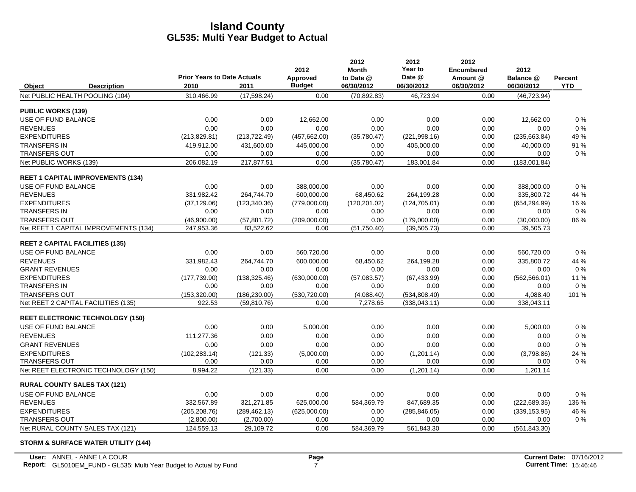|                           |                                          |                                            |               | 2012                      | 2012<br><b>Month</b>    | 2012<br>Year to      | 2012<br><b>Encumbered</b> | 2012                    |                       |
|---------------------------|------------------------------------------|--------------------------------------------|---------------|---------------------------|-------------------------|----------------------|---------------------------|-------------------------|-----------------------|
| Object                    | <b>Description</b>                       | <b>Prior Years to Date Actuals</b><br>2010 | 2011          | Approved<br><b>Budget</b> | to Date @<br>06/30/2012 | Date @<br>06/30/2012 | Amount @<br>06/30/2012    | Balance @<br>06/30/2012 | Percent<br><b>YTD</b> |
|                           | Net PUBLIC HEALTH POOLING (104)          | 310,466.99                                 | (17, 598.24)  | 0.00                      | (70, 892.83)            | 46,723.94            | 0.00                      | (46, 723.94)            |                       |
| <b>PUBLIC WORKS (139)</b> |                                          |                                            |               |                           |                         |                      |                           |                         |                       |
| USE OF FUND BALANCE       |                                          | 0.00                                       | 0.00          | 12,662.00                 | 0.00                    | 0.00                 | 0.00                      | 12,662.00               | 0%                    |
| <b>REVENUES</b>           |                                          | 0.00                                       | 0.00          | 0.00                      | 0.00                    | 0.00                 | 0.00                      | 0.00                    | 0%                    |
| <b>EXPENDITURES</b>       |                                          | (213, 829.81)                              | (213, 722.49) | (457, 662.00)             | (35,780.47)             | (221, 998.16)        | 0.00                      | (235, 663.84)           | 49 %                  |
| <b>TRANSFERS IN</b>       |                                          | 419,912.00                                 | 431,600.00    | 445,000.00                | 0.00                    | 405.000.00           | 0.00                      | 40.000.00               | 91 %                  |
| <b>TRANSFERS OUT</b>      |                                          | 0.00                                       | 0.00          | 0.00                      | 0.00                    | 0.00                 | 0.00                      | 0.00                    | $0\%$                 |
| Net PUBLIC WORKS (139)    |                                          | 206,082.19                                 | 217,877.51    | 0.00                      | (35,780.47)             | 183,001.84           | 0.00                      | (183,001.84)            |                       |
|                           | <b>REET 1 CAPITAL IMPROVEMENTS (134)</b> |                                            |               |                           |                         |                      |                           |                         |                       |
| USE OF FUND BALANCE       |                                          | 0.00                                       | 0.00          | 388,000.00                | 0.00                    | 0.00                 | 0.00                      | 388,000.00              | 0%                    |
| <b>REVENUES</b>           |                                          | 331,982.42                                 | 264,744.70    | 600,000.00                | 68,450.62               | 264,199.28           | 0.00                      | 335,800.72              | 44 %                  |
| <b>EXPENDITURES</b>       |                                          | (37, 129.06)                               | (123, 340.36) | (779,000.00)              | (120, 201.02)           | (124, 705.01)        | 0.00                      | (654, 294.99)           | 16 %                  |
| <b>TRANSFERS IN</b>       |                                          | 0.00                                       | 0.00          | 0.00                      | 0.00                    | 0.00                 | 0.00                      | 0.00                    | $0\%$                 |
| <b>TRANSFERS OUT</b>      |                                          | (46,900.00)                                | (57, 881.72)  | (209,000.00)              | 0.00                    | (179,000.00)         | 0.00                      | (30,000.00)             | 86 %                  |
|                           | Net REET 1 CAPITAL IMPROVEMENTS (134)    | 247,953.36                                 | 83,522.62     | 0.00                      | (51,750.40)             | (39,505.73)          | 0.00                      | 39,505.73               |                       |
|                           | <b>REET 2 CAPITAL FACILITIES (135)</b>   |                                            |               |                           |                         |                      |                           |                         |                       |
| USE OF FUND BALANCE       |                                          | 0.00                                       | 0.00          | 560,720.00                | 0.00                    | 0.00                 | 0.00                      | 560,720.00              | 0%                    |
| <b>REVENUES</b>           |                                          | 331,982.43                                 | 264,744.70    | 600,000.00                | 68,450.62               | 264,199.28           | 0.00                      | 335,800.72              | 44 %                  |
| <b>GRANT REVENUES</b>     |                                          | 0.00                                       | 0.00          | 0.00                      | 0.00                    | 0.00                 | 0.00                      | 0.00                    | $0\%$                 |
| <b>EXPENDITURES</b>       |                                          | (177, 739.90)                              | (138, 325.46) | (630,000.00)              | (57,083.57)             | (67, 433.99)         | 0.00                      | (562, 566.01)           | 11 %                  |
| <b>TRANSFERS IN</b>       |                                          | 0.00                                       | 0.00          | 0.00                      | 0.00                    | 0.00                 | 0.00                      | 0.00                    | $0\%$                 |
| <b>TRANSFERS OUT</b>      |                                          | (153, 320.00)                              | (186, 230.00) | (530, 720.00)             | (4,088.40)              | (534, 808.40)        | 0.00                      | 4,088.40                | 101 %                 |
|                           | Net REET 2 CAPITAL FACILITIES (135)      | 922.53                                     | (59, 810.76)  | 0.00                      | 7,278.65                | (338, 043.11)        | 0.00                      | 338,043.11              |                       |
|                           | <b>REET ELECTRONIC TECHNOLOGY (150)</b>  |                                            |               |                           |                         |                      |                           |                         |                       |
| USE OF FUND BALANCE       |                                          | 0.00                                       | 0.00          | 5,000.00                  | 0.00                    | 0.00                 | 0.00                      | 5,000.00                | 0%                    |
| <b>REVENUES</b>           |                                          | 111,277.36                                 | 0.00          | 0.00                      | 0.00                    | 0.00                 | 0.00                      | 0.00                    | 0%                    |
| <b>GRANT REVENUES</b>     |                                          | 0.00                                       | 0.00          | 0.00                      | 0.00                    | 0.00                 | 0.00                      | 0.00                    | 0%                    |
| <b>EXPENDITURES</b>       |                                          | (102, 283.14)                              | (121.33)      | (5,000.00)                | 0.00                    | (1,201.14)           | 0.00                      | (3,798.86)              | 24 %                  |
| <b>TRANSFERS OUT</b>      |                                          | 0.00                                       | 0.00          | 0.00                      | 0.00                    | 0.00                 | 0.00                      | 0.00                    | $0\%$                 |
|                           | Net REET ELECTRONIC TECHNOLOGY (150)     | 8,994.22                                   | (121.33)      | 0.00                      | 0.00                    | (1,201.14)           | 0.00                      | 1,201.14                |                       |
|                           | <b>RURAL COUNTY SALES TAX (121)</b>      |                                            |               |                           |                         |                      |                           |                         |                       |
| USE OF FUND BALANCE       |                                          | 0.00                                       | 0.00          | 0.00                      | 0.00                    | 0.00                 | 0.00                      | 0.00                    | 0%                    |
| <b>REVENUES</b>           |                                          | 332,567.89                                 | 321,271.85    | 625,000.00                | 584,369.79              | 847,689.35           | 0.00                      | (222, 689.35)           | 136 %                 |
| <b>EXPENDITURES</b>       |                                          | (205, 208.76)                              | (289, 462.13) | (625,000.00)              | 0.00                    | (285, 846.05)        | 0.00                      | (339, 153.95)           | 46 %                  |
| <b>TRANSFERS OUT</b>      |                                          | (2,800.00)                                 | (2,700.00)    | 0.00                      | 0.00                    | 0.00                 | 0.00                      | 0.00                    | $0\%$                 |
|                           | Net RURAL COUNTY SALES TAX (121)         | 124,559.13                                 | 29,109.72     | 0.00                      | 584,369.79              | 561,843.30           | 0.00                      | (561, 843.30)           |                       |

#### **STORM & SURFACE WATER UTILITY (144)**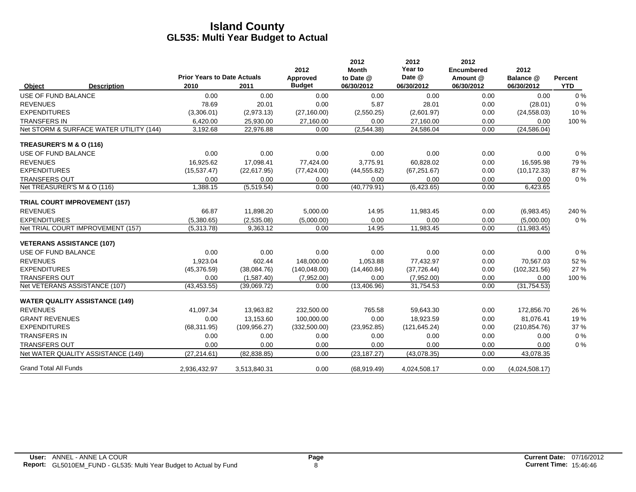|                                  |                                         | <b>Prior Years to Date Actuals</b> |               | 2012<br>Approved | 2012<br><b>Month</b><br>to Date @ | 2012<br>Year to<br>Date @ | 2012<br><b>Encumbered</b><br>Amount @ | 2012<br>Balance @ | Percent    |
|----------------------------------|-----------------------------------------|------------------------------------|---------------|------------------|-----------------------------------|---------------------------|---------------------------------------|-------------------|------------|
| Object                           | <b>Description</b>                      | 2010                               | 2011          | <b>Budget</b>    | 06/30/2012                        | 06/30/2012                | 06/30/2012                            | 06/30/2012        | <b>YTD</b> |
| <b>USE OF FUND BALANCE</b>       |                                         | 0.00                               | 0.00          | 0.00             | 0.00                              | 0.00                      | 0.00                                  | 0.00              | 0%         |
| <b>REVENUES</b>                  |                                         | 78.69                              | 20.01         | 0.00             | 5.87                              | 28.01                     | 0.00                                  | (28.01)           | 0%         |
| <b>EXPENDITURES</b>              |                                         | (3,306.01)                         | (2,973.13)    | (27, 160.00)     | (2,550.25)                        | (2,601.97)                | 0.00                                  | (24, 558.03)      | 10%        |
| <b>TRANSFERS IN</b>              |                                         | 6,420.00                           | 25,930.00     | 27,160.00        | 0.00                              | 27,160.00                 | 0.00                                  | 0.00              | 100 %      |
|                                  | Net STORM & SURFACE WATER UTILITY (144) | 3,192.68                           | 22,976.88     | 0.00             | (2,544.38)                        | 24,586.04                 | 0.00                                  | (24, 586.04)      |            |
| TREASURER'S M & O (116)          |                                         |                                    |               |                  |                                   |                           |                                       |                   |            |
| USE OF FUND BALANCE              |                                         | 0.00                               | 0.00          | 0.00             | 0.00                              | 0.00                      | 0.00                                  | 0.00              | $0\%$      |
| <b>REVENUES</b>                  |                                         | 16.925.62                          | 17,098.41     | 77,424.00        | 3,775.91                          | 60,828.02                 | 0.00                                  | 16,595.98         | 79%        |
| <b>EXPENDITURES</b>              |                                         | (15, 537.47)                       | (22,617.95)   | (77, 424.00)     | (44, 555.82)                      | (67, 251.67)              | 0.00                                  | (10, 172.33)      | 87%        |
| <b>TRANSFERS OUT</b>             |                                         | 0.00                               | 0.00          | 0.00             | 0.00                              | 0.00                      | 0.00                                  | 0.00              | 0%         |
| Net TREASURER'S M & O (116)      |                                         | 1,388.15                           | (5,519.54)    | 0.00             | (40, 779.91)                      | (6,423.65)                | 0.00                                  | 6,423.65          |            |
|                                  | <b>TRIAL COURT IMPROVEMENT (157)</b>    |                                    |               |                  |                                   |                           |                                       |                   |            |
| <b>REVENUES</b>                  |                                         | 66.87                              | 11,898.20     | 5,000.00         | 14.95                             | 11,983.45                 | 0.00                                  | (6,983.45)        | 240 %      |
| <b>EXPENDITURES</b>              |                                         | (5,380.65)                         | (2,535.08)    | (5,000.00)       | 0.00                              | 0.00                      | 0.00                                  | (5,000.00)        | 0%         |
|                                  | Net TRIAL COURT IMPROVEMENT (157)       | (5,313.78)                         | 9,363.12      | 0.00             | 14.95                             | 11,983.45                 | 0.00                                  | (11, 983.45)      |            |
| <b>VETERANS ASSISTANCE (107)</b> |                                         |                                    |               |                  |                                   |                           |                                       |                   |            |
| USE OF FUND BALANCE              |                                         | 0.00                               | 0.00          | 0.00             | 0.00                              | 0.00                      | 0.00                                  | 0.00              | $0\%$      |
| <b>REVENUES</b>                  |                                         | 1,923.04                           | 602.44        | 148,000.00       | 1,053.88                          | 77,432.97                 | 0.00                                  | 70,567.03         | 52 %       |
| <b>EXPENDITURES</b>              |                                         | (45, 376.59)                       | (38,084.76)   | (140, 048.00)    | (14, 460.84)                      | (37, 726.44)              | 0.00                                  | (102, 321.56)     | 27 %       |
| <b>TRANSFERS OUT</b>             |                                         | 0.00                               | (1,587.40)    | (7,952.00)       | 0.00                              | (7,952.00)                | 0.00                                  | 0.00              | 100 %      |
|                                  | Net VETERANS ASSISTANCE (107)           | (43, 453.55)                       | (39,069.72)   | 0.00             | (13, 406.96)                      | 31,754.53                 | 0.00                                  | (31, 754.53)      |            |
|                                  | <b>WATER QUALITY ASSISTANCE (149)</b>   |                                    |               |                  |                                   |                           |                                       |                   |            |
| <b>REVENUES</b>                  |                                         | 41,097.34                          | 13,963.82     | 232,500.00       | 765.58                            | 59,643.30                 | 0.00                                  | 172,856.70        | 26 %       |
| <b>GRANT REVENUES</b>            |                                         | 0.00                               | 13,153.60     | 100,000.00       | 0.00                              | 18,923.59                 | 0.00                                  | 81,076.41         | 19%        |
| <b>EXPENDITURES</b>              |                                         | (68, 311.95)                       | (109, 956.27) | (332, 500.00)    | (23,952.85)                       | (121, 645.24)             | 0.00                                  | (210, 854.76)     | 37 %       |
| <b>TRANSFERS IN</b>              |                                         | 0.00                               | 0.00          | 0.00             | 0.00                              | 0.00                      | 0.00                                  | 0.00              | 0%         |
| <b>TRANSFERS OUT</b>             |                                         | 0.00                               | 0.00          | 0.00             | 0.00                              | 0.00                      | 0.00                                  | 0.00              | 0%         |
|                                  | Net WATER QUALITY ASSISTANCE (149)      | (27, 214.61)                       | (82, 838.85)  | 0.00             | (23, 187.27)                      | (43,078.35)               | 0.00                                  | 43,078.35         |            |
| <b>Grand Total All Funds</b>     |                                         | 2,936,432.97                       | 3,513,840.31  | 0.00             | (68,919.49)                       | 4,024,508.17              | 0.00                                  | (4,024,508.17)    |            |